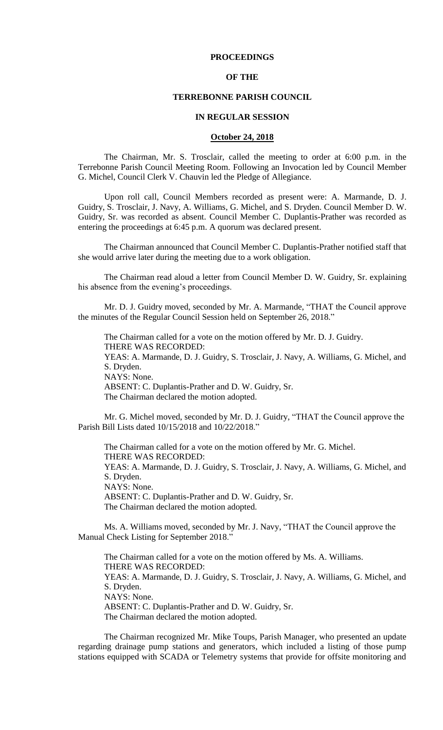# **PROCEEDINGS**

### **OF THE**

#### **TERREBONNE PARISH COUNCIL**

### **IN REGULAR SESSION**

### **October 24, 2018**

The Chairman, Mr. S. Trosclair, called the meeting to order at 6:00 p.m. in the Terrebonne Parish Council Meeting Room. Following an Invocation led by Council Member G. Michel, Council Clerk V. Chauvin led the Pledge of Allegiance.

Upon roll call, Council Members recorded as present were: A. Marmande, D. J. Guidry, S. Trosclair, J. Navy, A. Williams, G. Michel, and S. Dryden. Council Member D. W. Guidry, Sr. was recorded as absent. Council Member C. Duplantis-Prather was recorded as entering the proceedings at 6:45 p.m. A quorum was declared present.

The Chairman announced that Council Member C. Duplantis-Prather notified staff that she would arrive later during the meeting due to a work obligation.

The Chairman read aloud a letter from Council Member D. W. Guidry, Sr. explaining his absence from the evening's proceedings.

Mr. D. J. Guidry moved, seconded by Mr. A. Marmande, "THAT the Council approve the minutes of the Regular Council Session held on September 26, 2018."

The Chairman called for a vote on the motion offered by Mr. D. J. Guidry. THERE WAS RECORDED: YEAS: A. Marmande, D. J. Guidry, S. Trosclair, J. Navy, A. Williams, G. Michel, and S. Dryden. NAYS: None. ABSENT: C. Duplantis-Prather and D. W. Guidry, Sr. The Chairman declared the motion adopted.

Mr. G. Michel moved, seconded by Mr. D. J. Guidry, "THAT the Council approve the Parish Bill Lists dated 10/15/2018 and 10/22/2018."

The Chairman called for a vote on the motion offered by Mr. G. Michel. THERE WAS RECORDED: YEAS: A. Marmande, D. J. Guidry, S. Trosclair, J. Navy, A. Williams, G. Michel, and S. Dryden. NAYS: None. ABSENT: C. Duplantis-Prather and D. W. Guidry, Sr. The Chairman declared the motion adopted.

Ms. A. Williams moved, seconded by Mr. J. Navy, "THAT the Council approve the Manual Check Listing for September 2018."

The Chairman called for a vote on the motion offered by Ms. A. Williams. THERE WAS RECORDED: YEAS: A. Marmande, D. J. Guidry, S. Trosclair, J. Navy, A. Williams, G. Michel, and S. Dryden. NAYS: None. ABSENT: C. Duplantis-Prather and D. W. Guidry, Sr. The Chairman declared the motion adopted.

The Chairman recognized Mr. Mike Toups, Parish Manager, who presented an update regarding drainage pump stations and generators, which included a listing of those pump stations equipped with SCADA or Telemetry systems that provide for offsite monitoring and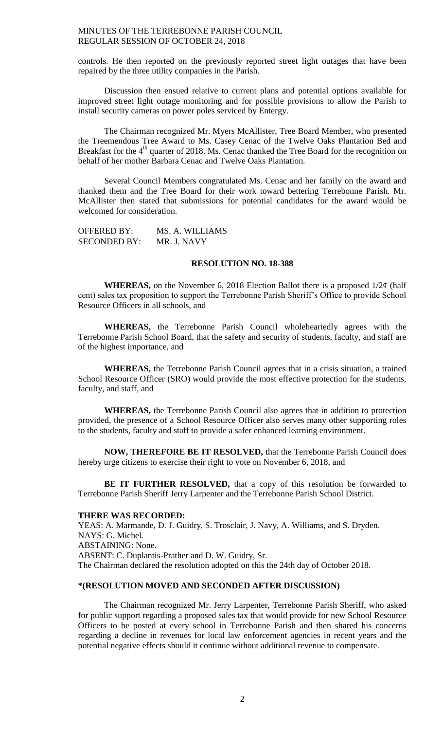controls. He then reported on the previously reported street light outages that have been repaired by the three utility companies in the Parish.

Discussion then ensued relative to current plans and potential options available for improved street light outage monitoring and for possible provisions to allow the Parish to install security cameras on power poles serviced by Entergy.

The Chairman recognized Mr. Myers McAllister, Tree Board Member, who presented the Treemendous Tree Award to Ms. Casey Cenac of the Twelve Oaks Plantation Bed and Breakfast for the 4<sup>th</sup> quarter of 2018. Ms. Cenac thanked the Tree Board for the recognition on behalf of her mother Barbara Cenac and Twelve Oaks Plantation.

Several Council Members congratulated Ms. Cenac and her family on the award and thanked them and the Tree Board for their work toward bettering Terrebonne Parish. Mr. McAllister then stated that submissions for potential candidates for the award would be welcomed for consideration.

OFFERED BY: MS. A. WILLIAMS SECONDED BY: MR. J. NAVY

# **RESOLUTION NO. 18-388**

**WHEREAS,** on the November 6, 2018 Election Ballot there is a proposed  $1/2\phi$  (half cent) sales tax proposition to support the Terrebonne Parish Sheriff's Office to provide School Resource Officers in all schools, and

**WHEREAS,** the Terrebonne Parish Council wholeheartedly agrees with the Terrebonne Parish School Board, that the safety and security of students, faculty, and staff are of the highest importance, and

**WHEREAS,** the Terrebonne Parish Council agrees that in a crisis situation, a trained School Resource Officer (SRO) would provide the most effective protection for the students, faculty, and staff, and

**WHEREAS,** the Terrebonne Parish Council also agrees that in addition to protection provided, the presence of a School Resource Officer also serves many other supporting roles to the students, faculty and staff to provide a safer enhanced learning environment.

**NOW, THEREFORE BE IT RESOLVED,** that the Terrebonne Parish Council does hereby urge citizens to exercise their right to vote on November 6, 2018, and

**BE IT FURTHER RESOLVED,** that a copy of this resolution be forwarded to Terrebonne Parish Sheriff Jerry Larpenter and the Terrebonne Parish School District.

#### **THERE WAS RECORDED:**

YEAS: A. Marmande, D. J. Guidry, S. Trosclair, J. Navy, A. Williams, and S. Dryden. NAYS: G. Michel. ABSTAINING: None. ABSENT: C. Duplantis-Prather and D. W. Guidry, Sr. The Chairman declared the resolution adopted on this the 24th day of October 2018.

### **\*(RESOLUTION MOVED AND SECONDED AFTER DISCUSSION)**

The Chairman recognized Mr. Jerry Larpenter, Terrebonne Parish Sheriff, who asked for public support regarding a proposed sales tax that would provide for new School Resource Officers to be posted at every school in Terrebonne Parish and then shared his concerns regarding a decline in revenues for local law enforcement agencies in recent years and the potential negative effects should it continue without additional revenue to compensate.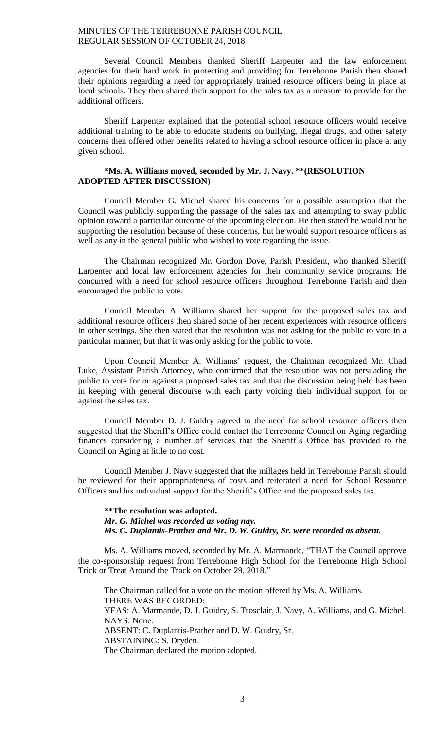Several Council Members thanked Sheriff Larpenter and the law enforcement agencies for their hard work in protecting and providing for Terrebonne Parish then shared their opinions regarding a need for appropriately trained resource officers being in place at local schools. They then shared their support for the sales tax as a measure to provide for the additional officers.

Sheriff Larpenter explained that the potential school resource officers would receive additional training to be able to educate students on bullying, illegal drugs, and other safety concerns then offered other benefits related to having a school resource officer in place at any given school.

# **\*Ms. A. Williams moved, seconded by Mr. J. Navy. \*\*(RESOLUTION ADOPTED AFTER DISCUSSION)**

Council Member G. Michel shared his concerns for a possible assumption that the Council was publicly supporting the passage of the sales tax and attempting to sway public opinion toward a particular outcome of the upcoming election. He then stated he would not be supporting the resolution because of these concerns, but he would support resource officers as well as any in the general public who wished to vote regarding the issue.

The Chairman recognized Mr. Gordon Dove, Parish President, who thanked Sheriff Larpenter and local law enforcement agencies for their community service programs. He concurred with a need for school resource officers throughout Terrebonne Parish and then encouraged the public to vote.

Council Member A. Williams shared her support for the proposed sales tax and additional resource officers then shared some of her recent experiences with resource officers in other settings. She then stated that the resolution was not asking for the public to vote in a particular manner, but that it was only asking for the public to vote.

Upon Council Member A. Williams' request, the Chairman recognized Mr. Chad Luke, Assistant Parish Attorney, who confirmed that the resolution was not persuading the public to vote for or against a proposed sales tax and that the discussion being held has been in keeping with general discourse with each party voicing their individual support for or against the sales tax.

Council Member D. J. Guidry agreed to the need for school resource officers then suggested that the Sheriff's Office could contact the Terrebonne Council on Aging regarding finances considering a number of services that the Sheriff's Office has provided to the Council on Aging at little to no cost.

Council Member J. Navy suggested that the millages held in Terrebonne Parish should be reviewed for their appropriateness of costs and reiterated a need for School Resource Officers and his individual support for the Sheriff's Office and the proposed sales tax.

**\*\*The resolution was adopted.** *Mr. G. Michel was recorded as voting nay. Ms. C. Duplantis-Prather and Mr. D. W. Guidry, Sr. were recorded as absent.*

Ms. A. Williams moved, seconded by Mr. A. Marmande, "THAT the Council approve the co-sponsorship request from Terrebonne High School for the Terrebonne High School Trick or Treat Around the Track on October 29, 2018."

The Chairman called for a vote on the motion offered by Ms. A. Williams. THERE WAS RECORDED: YEAS: A. Marmande, D. J. Guidry, S. Trosclair, J. Navy, A. Williams, and G. Michel. NAYS: None. ABSENT: C. Duplantis-Prather and D. W. Guidry, Sr. ABSTAINING: S. Dryden. The Chairman declared the motion adopted.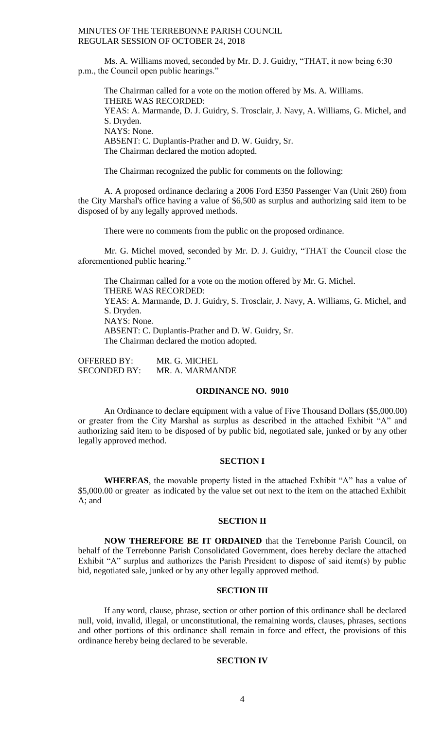Ms. A. Williams moved, seconded by Mr. D. J. Guidry, "THAT, it now being 6:30 p.m., the Council open public hearings."

The Chairman called for a vote on the motion offered by Ms. A. Williams. THERE WAS RECORDED: YEAS: A. Marmande, D. J. Guidry, S. Trosclair, J. Navy, A. Williams, G. Michel, and S. Dryden. NAYS: None. ABSENT: C. Duplantis-Prather and D. W. Guidry, Sr. The Chairman declared the motion adopted.

The Chairman recognized the public for comments on the following:

A. A proposed ordinance declaring a 2006 Ford E350 Passenger Van (Unit 260) from the City Marshal's office having a value of \$6,500 as surplus and authorizing said item to be disposed of by any legally approved methods.

There were no comments from the public on the proposed ordinance.

Mr. G. Michel moved, seconded by Mr. D. J. Guidry, "THAT the Council close the aforementioned public hearing."

The Chairman called for a vote on the motion offered by Mr. G. Michel. THERE WAS RECORDED: YEAS: A. Marmande, D. J. Guidry, S. Trosclair, J. Navy, A. Williams, G. Michel, and S. Dryden. NAYS: None. ABSENT: C. Duplantis-Prather and D. W. Guidry, Sr. The Chairman declared the motion adopted.

| <b>OFFERED BY:</b>  | MR. G. MICHEL   |
|---------------------|-----------------|
| <b>SECONDED BY:</b> | MR. A. MARMANDE |

### **ORDINANCE NO. 9010**

An Ordinance to declare equipment with a value of Five Thousand Dollars (\$5,000.00) or greater from the City Marshal as surplus as described in the attached Exhibit "A" and authorizing said item to be disposed of by public bid, negotiated sale, junked or by any other legally approved method.

### **SECTION I**

**WHEREAS**, the movable property listed in the attached Exhibit "A" has a value of \$5,000.00 or greater as indicated by the value set out next to the item on the attached Exhibit A; and

#### **SECTION II**

**NOW THEREFORE BE IT ORDAINED** that the Terrebonne Parish Council, on behalf of the Terrebonne Parish Consolidated Government, does hereby declare the attached Exhibit "A" surplus and authorizes the Parish President to dispose of said item(s) by public bid, negotiated sale, junked or by any other legally approved method.

### **SECTION III**

If any word, clause, phrase, section or other portion of this ordinance shall be declared null, void, invalid, illegal, or unconstitutional, the remaining words, clauses, phrases, sections and other portions of this ordinance shall remain in force and effect, the provisions of this ordinance hereby being declared to be severable.

# **SECTION IV**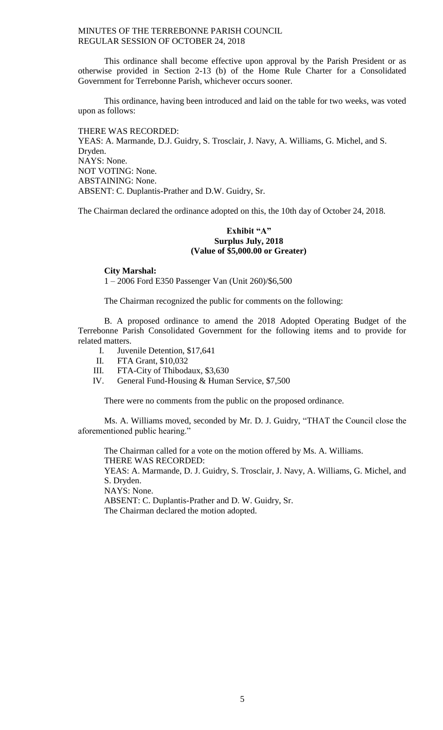This ordinance shall become effective upon approval by the Parish President or as otherwise provided in Section 2-13 (b) of the Home Rule Charter for a Consolidated Government for Terrebonne Parish, whichever occurs sooner.

This ordinance, having been introduced and laid on the table for two weeks, was voted upon as follows:

THERE WAS RECORDED: YEAS: A. Marmande, D.J. Guidry, S. Trosclair, J. Navy, A. Williams, G. Michel, and S. Dryden. NAYS: None. NOT VOTING: None. ABSTAINING: None. ABSENT: C. Duplantis-Prather and D.W. Guidry, Sr.

The Chairman declared the ordinance adopted on this, the 10th day of October 24, 2018.

# **Exhibit "A" Surplus July, 2018 (Value of \$5,000.00 or Greater)**

**City Marshal:**

1 – 2006 Ford E350 Passenger Van (Unit 260)/\$6,500

The Chairman recognized the public for comments on the following:

B. A proposed ordinance to amend the 2018 Adopted Operating Budget of the Terrebonne Parish Consolidated Government for the following items and to provide for related matters.

- I. Juvenile Detention, \$17,641
- II. FTA Grant, \$10,032
- III. FTA-City of Thibodaux, \$3,630
- IV. General Fund-Housing & Human Service, \$7,500

There were no comments from the public on the proposed ordinance.

Ms. A. Williams moved, seconded by Mr. D. J. Guidry, "THAT the Council close the aforementioned public hearing."

The Chairman called for a vote on the motion offered by Ms. A. Williams. THERE WAS RECORDED:

YEAS: A. Marmande, D. J. Guidry, S. Trosclair, J. Navy, A. Williams, G. Michel, and S. Dryden.

NAYS: None.

ABSENT: C. Duplantis-Prather and D. W. Guidry, Sr.

The Chairman declared the motion adopted.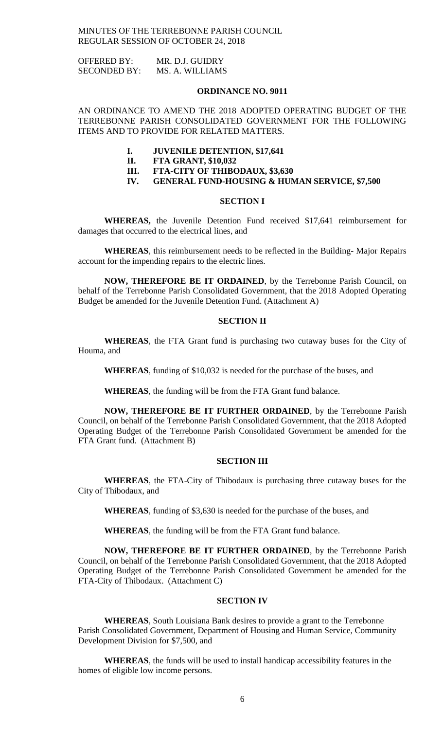OFFERED BY: MR. D.J. GUIDRY SECONDED BY: MS. A. WILLIAMS

### **ORDINANCE NO. 9011**

AN ORDINANCE TO AMEND THE 2018 ADOPTED OPERATING BUDGET OF THE TERREBONNE PARISH CONSOLIDATED GOVERNMENT FOR THE FOLLOWING ITEMS AND TO PROVIDE FOR RELATED MATTERS.

#### **I. JUVENILE DETENTION, \$17,641**

- **II. FTA GRANT, \$10,032**
- **III. FTA-CITY OF THIBODAUX, \$3,630**
- **IV. GENERAL FUND-HOUSING & HUMAN SERVICE, \$7,500**

# **SECTION I**

**WHEREAS,** the Juvenile Detention Fund received \$17,641 reimbursement for damages that occurred to the electrical lines, and

**WHEREAS**, this reimbursement needs to be reflected in the Building- Major Repairs account for the impending repairs to the electric lines.

**NOW, THEREFORE BE IT ORDAINED**, by the Terrebonne Parish Council, on behalf of the Terrebonne Parish Consolidated Government, that the 2018 Adopted Operating Budget be amended for the Juvenile Detention Fund. (Attachment A)

#### **SECTION II**

**WHEREAS**, the FTA Grant fund is purchasing two cutaway buses for the City of Houma, and

**WHEREAS**, funding of \$10,032 is needed for the purchase of the buses, and

**WHEREAS**, the funding will be from the FTA Grant fund balance.

**NOW, THEREFORE BE IT FURTHER ORDAINED**, by the Terrebonne Parish Council, on behalf of the Terrebonne Parish Consolidated Government, that the 2018 Adopted Operating Budget of the Terrebonne Parish Consolidated Government be amended for the FTA Grant fund. (Attachment B)

### **SECTION III**

**WHEREAS**, the FTA-City of Thibodaux is purchasing three cutaway buses for the City of Thibodaux, and

**WHEREAS**, funding of \$3,630 is needed for the purchase of the buses, and

**WHEREAS**, the funding will be from the FTA Grant fund balance.

**NOW, THEREFORE BE IT FURTHER ORDAINED**, by the Terrebonne Parish Council, on behalf of the Terrebonne Parish Consolidated Government, that the 2018 Adopted Operating Budget of the Terrebonne Parish Consolidated Government be amended for the FTA-City of Thibodaux. (Attachment C)

### **SECTION IV**

**WHEREAS**, South Louisiana Bank desires to provide a grant to the Terrebonne Parish Consolidated Government, Department of Housing and Human Service, Community Development Division for \$7,500, and

**WHEREAS**, the funds will be used to install handicap accessibility features in the homes of eligible low income persons.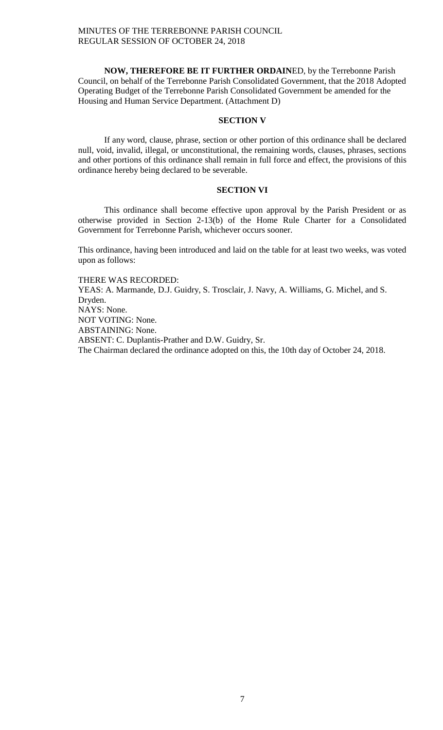**NOW, THEREFORE BE IT FURTHER ORDAIN**ED, by the Terrebonne Parish Council, on behalf of the Terrebonne Parish Consolidated Government, that the 2018 Adopted Operating Budget of the Terrebonne Parish Consolidated Government be amended for the Housing and Human Service Department. (Attachment D)

# **SECTION V**

If any word, clause, phrase, section or other portion of this ordinance shall be declared null, void, invalid, illegal, or unconstitutional, the remaining words, clauses, phrases, sections and other portions of this ordinance shall remain in full force and effect, the provisions of this ordinance hereby being declared to be severable.

# **SECTION VI**

This ordinance shall become effective upon approval by the Parish President or as otherwise provided in Section 2-13(b) of the Home Rule Charter for a Consolidated Government for Terrebonne Parish, whichever occurs sooner.

This ordinance, having been introduced and laid on the table for at least two weeks, was voted upon as follows:

THERE WAS RECORDED: YEAS: A. Marmande, D.J. Guidry, S. Trosclair, J. Navy, A. Williams, G. Michel, and S. Dryden. NAYS: None. NOT VOTING: None. ABSTAINING: None. ABSENT: C. Duplantis-Prather and D.W. Guidry, Sr. The Chairman declared the ordinance adopted on this, the 10th day of October 24, 2018.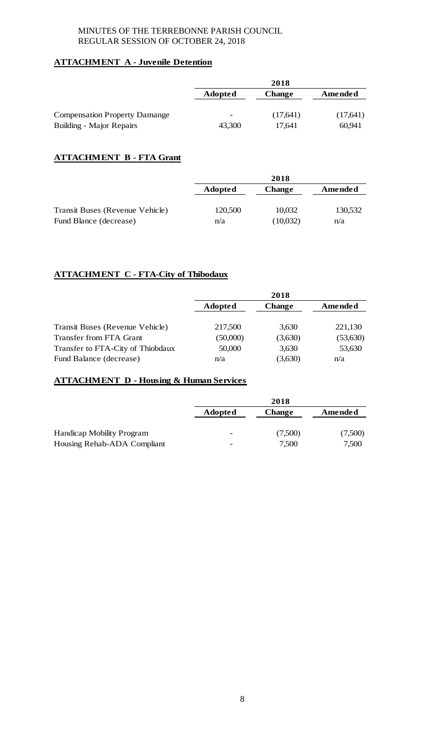# **ATTACHMENT A - Juvenile Detention**

|                                      | 2018                     |               |          |
|--------------------------------------|--------------------------|---------------|----------|
|                                      | Adopted                  | <b>Change</b> | Amended  |
| <b>Compensation Property Damange</b> | $\overline{\phantom{a}}$ | (17,641)      | (17,641) |
| <b>Building - Major Repairs</b>      | 43,300                   | 17.641        | 60.941   |

# **ATTACHMENT B - FTA Grant**

|                                 | 2018           |               |         |
|---------------------------------|----------------|---------------|---------|
|                                 | <b>Adopted</b> | <b>Change</b> | Amended |
| Transit Buses (Revenue Vehicle) | 120,500        | 10,032        | 130,532 |
| Fund Blance (decrease)          | n/a            | (10,032)      | n/a     |

# **ATTACHMENT C - FTA-City of Thibodaux**

|                                   | 2018           |               |           |
|-----------------------------------|----------------|---------------|-----------|
|                                   | <b>Adopted</b> | <b>Change</b> | Amended   |
| Transit Buses (Revenue Vehicle)   | 217,500        | 3,630         | 221,130   |
| Transfer from FTA Grant           | (50,000)       | (3,630)       | (53, 630) |
| Transfer to FTA-City of Thiobdaux | 50,000         | 3,630         | 53,630    |
| Fund Balance (decrease)           | n/a            | (3,630)       | n/a       |

# **ATTACHMENT D - Housing & Human Services**

|                                  | 2018                     |               |         |
|----------------------------------|--------------------------|---------------|---------|
|                                  | <b>Adopted</b>           | <b>Change</b> | Amended |
|                                  |                          |               |         |
| <b>Handicap Mobility Program</b> | -                        | (7,500)       | (7,500) |
| Housing Rehab-ADA Compliant      | $\overline{\phantom{a}}$ | 7,500         | 7,500   |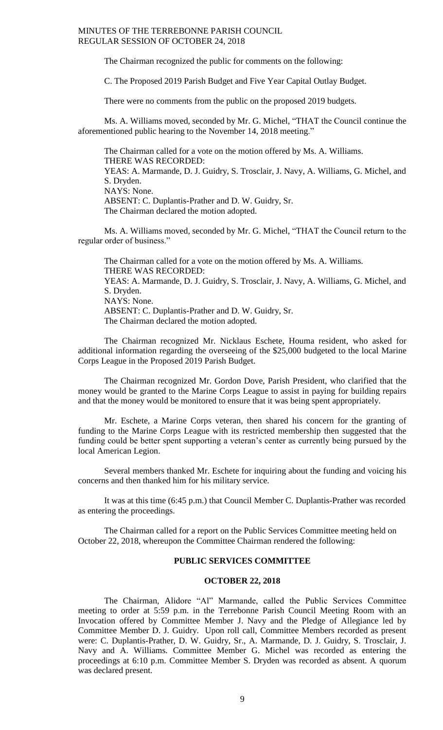The Chairman recognized the public for comments on the following:

C. The Proposed 2019 Parish Budget and Five Year Capital Outlay Budget.

There were no comments from the public on the proposed 2019 budgets.

Ms. A. Williams moved, seconded by Mr. G. Michel, "THAT the Council continue the aforementioned public hearing to the November 14, 2018 meeting."

The Chairman called for a vote on the motion offered by Ms. A. Williams. THERE WAS RECORDED: YEAS: A. Marmande, D. J. Guidry, S. Trosclair, J. Navy, A. Williams, G. Michel, and S. Dryden. NAYS: None. ABSENT: C. Duplantis-Prather and D. W. Guidry, Sr. The Chairman declared the motion adopted.

Ms. A. Williams moved, seconded by Mr. G. Michel, "THAT the Council return to the regular order of business."

The Chairman called for a vote on the motion offered by Ms. A. Williams. THERE WAS RECORDED: YEAS: A. Marmande, D. J. Guidry, S. Trosclair, J. Navy, A. Williams, G. Michel, and S. Dryden. NAYS: None. ABSENT: C. Duplantis-Prather and D. W. Guidry, Sr. The Chairman declared the motion adopted.

The Chairman recognized Mr. Nicklaus Eschete, Houma resident, who asked for additional information regarding the overseeing of the \$25,000 budgeted to the local Marine Corps League in the Proposed 2019 Parish Budget.

The Chairman recognized Mr. Gordon Dove, Parish President, who clarified that the money would be granted to the Marine Corps League to assist in paying for building repairs and that the money would be monitored to ensure that it was being spent appropriately.

Mr. Eschete, a Marine Corps veteran, then shared his concern for the granting of funding to the Marine Corps League with its restricted membership then suggested that the funding could be better spent supporting a veteran's center as currently being pursued by the local American Legion.

Several members thanked Mr. Eschete for inquiring about the funding and voicing his concerns and then thanked him for his military service.

It was at this time (6:45 p.m.) that Council Member C. Duplantis-Prather was recorded as entering the proceedings.

The Chairman called for a report on the Public Services Committee meeting held on October 22, 2018, whereupon the Committee Chairman rendered the following:

# **PUBLIC SERVICES COMMITTEE**

#### **OCTOBER 22, 2018**

The Chairman, Alidore "Al" Marmande, called the Public Services Committee meeting to order at 5:59 p.m. in the Terrebonne Parish Council Meeting Room with an Invocation offered by Committee Member J. Navy and the Pledge of Allegiance led by Committee Member D. J. Guidry. Upon roll call, Committee Members recorded as present were: C. Duplantis-Prather, D. W. Guidry, Sr., A. Marmande, D. J. Guidry, S. Trosclair, J. Navy and A. Williams. Committee Member G. Michel was recorded as entering the proceedings at 6:10 p.m. Committee Member S. Dryden was recorded as absent. A quorum was declared present.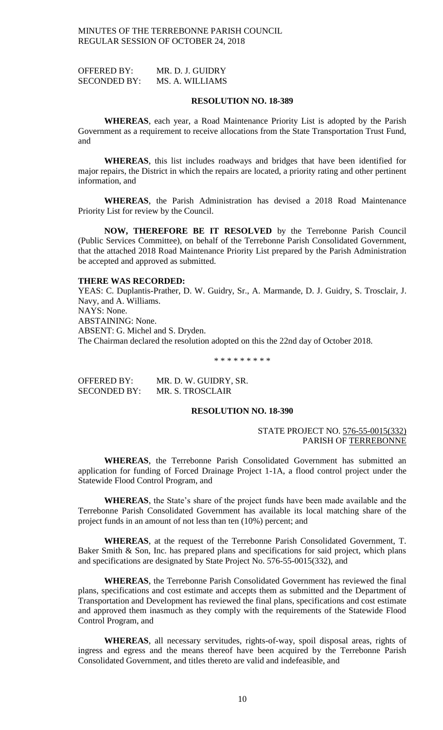OFFERED BY: MR. D. J. GUIDRY SECONDED BY: MS. A. WILLIAMS

### **RESOLUTION NO. 18-389**

**WHEREAS**, each year, a Road Maintenance Priority List is adopted by the Parish Government as a requirement to receive allocations from the State Transportation Trust Fund, and

**WHEREAS**, this list includes roadways and bridges that have been identified for major repairs, the District in which the repairs are located, a priority rating and other pertinent information, and

**WHEREAS**, the Parish Administration has devised a 2018 Road Maintenance Priority List for review by the Council.

**NOW, THEREFORE BE IT RESOLVED** by the Terrebonne Parish Council (Public Services Committee), on behalf of the Terrebonne Parish Consolidated Government, that the attached 2018 Road Maintenance Priority List prepared by the Parish Administration be accepted and approved as submitted.

# **THERE WAS RECORDED:**

YEAS: C. Duplantis-Prather, D. W. Guidry, Sr., A. Marmande, D. J. Guidry, S. Trosclair, J. Navy, and A. Williams. NAYS: None. ABSTAINING: None. ABSENT: G. Michel and S. Dryden. The Chairman declared the resolution adopted on this the 22nd day of October 2018.

\* \* \* \* \* \* \* \* \*

OFFERED BY: MR. D. W. GUIDRY, SR. SECONDED BY: MR. S. TROSCLAIR

### **RESOLUTION NO. 18-390**

### STATE PROJECT NO. 576-55-0015(332) PARISH OF TERREBONNE

**WHEREAS**, the Terrebonne Parish Consolidated Government has submitted an application for funding of Forced Drainage Project 1-1A, a flood control project under the Statewide Flood Control Program, and

**WHEREAS**, the State's share of the project funds have been made available and the Terrebonne Parish Consolidated Government has available its local matching share of the project funds in an amount of not less than ten (10%) percent; and

**WHEREAS**, at the request of the Terrebonne Parish Consolidated Government, T. Baker Smith & Son, Inc. has prepared plans and specifications for said project, which plans and specifications are designated by State Project No. 576-55-0015(332), and

**WHEREAS**, the Terrebonne Parish Consolidated Government has reviewed the final plans, specifications and cost estimate and accepts them as submitted and the Department of Transportation and Development has reviewed the final plans, specifications and cost estimate and approved them inasmuch as they comply with the requirements of the Statewide Flood Control Program, and

**WHEREAS**, all necessary servitudes, rights-of-way, spoil disposal areas, rights of ingress and egress and the means thereof have been acquired by the Terrebonne Parish Consolidated Government, and titles thereto are valid and indefeasible, and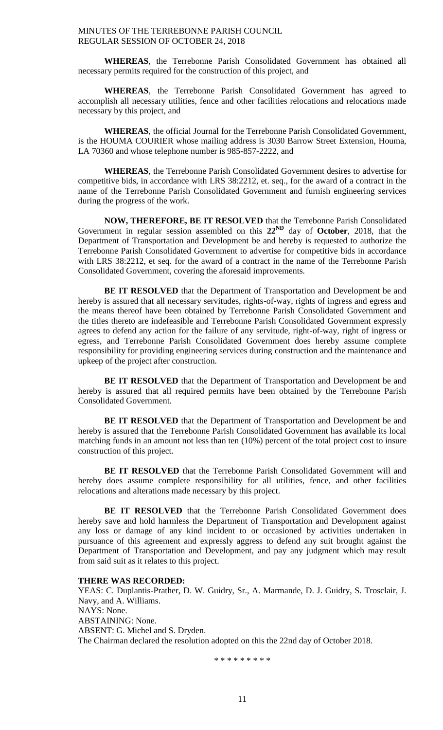**WHEREAS**, the Terrebonne Parish Consolidated Government has obtained all necessary permits required for the construction of this project, and

**WHEREAS**, the Terrebonne Parish Consolidated Government has agreed to accomplish all necessary utilities, fence and other facilities relocations and relocations made necessary by this project, and

**WHEREAS**, the official Journal for the Terrebonne Parish Consolidated Government, is the HOUMA COURIER whose mailing address is 3030 Barrow Street Extension, Houma, LA 70360 and whose telephone number is 985-857-2222, and

**WHEREAS**, the Terrebonne Parish Consolidated Government desires to advertise for competitive bids, in accordance with LRS 38:2212, et. seq., for the award of a contract in the name of the Terrebonne Parish Consolidated Government and furnish engineering services during the progress of the work.

**NOW, THEREFORE, BE IT RESOLVED** that the Terrebonne Parish Consolidated Government in regular session assembled on this **22ND** day of **October**, 2018, that the Department of Transportation and Development be and hereby is requested to authorize the Terrebonne Parish Consolidated Government to advertise for competitive bids in accordance with LRS 38:2212, et seq. for the award of a contract in the name of the Terrebonne Parish Consolidated Government, covering the aforesaid improvements.

**BE IT RESOLVED** that the Department of Transportation and Development be and hereby is assured that all necessary servitudes, rights-of-way, rights of ingress and egress and the means thereof have been obtained by Terrebonne Parish Consolidated Government and the titles thereto are indefeasible and Terrebonne Parish Consolidated Government expressly agrees to defend any action for the failure of any servitude, right-of-way, right of ingress or egress, and Terrebonne Parish Consolidated Government does hereby assume complete responsibility for providing engineering services during construction and the maintenance and upkeep of the project after construction.

**BE IT RESOLVED** that the Department of Transportation and Development be and hereby is assured that all required permits have been obtained by the Terrebonne Parish Consolidated Government.

**BE IT RESOLVED** that the Department of Transportation and Development be and hereby is assured that the Terrebonne Parish Consolidated Government has available its local matching funds in an amount not less than ten (10%) percent of the total project cost to insure construction of this project.

**BE IT RESOLVED** that the Terrebonne Parish Consolidated Government will and hereby does assume complete responsibility for all utilities, fence, and other facilities relocations and alterations made necessary by this project.

**BE IT RESOLVED** that the Terrebonne Parish Consolidated Government does hereby save and hold harmless the Department of Transportation and Development against any loss or damage of any kind incident to or occasioned by activities undertaken in pursuance of this agreement and expressly aggress to defend any suit brought against the Department of Transportation and Development, and pay any judgment which may result from said suit as it relates to this project.

# **THERE WAS RECORDED:**

YEAS: C. Duplantis-Prather, D. W. Guidry, Sr., A. Marmande, D. J. Guidry, S. Trosclair, J. Navy, and A. Williams. NAYS: None. ABSTAINING: None. ABSENT: G. Michel and S. Dryden. The Chairman declared the resolution adopted on this the 22nd day of October 2018.

\* \* \* \* \* \* \* \* \*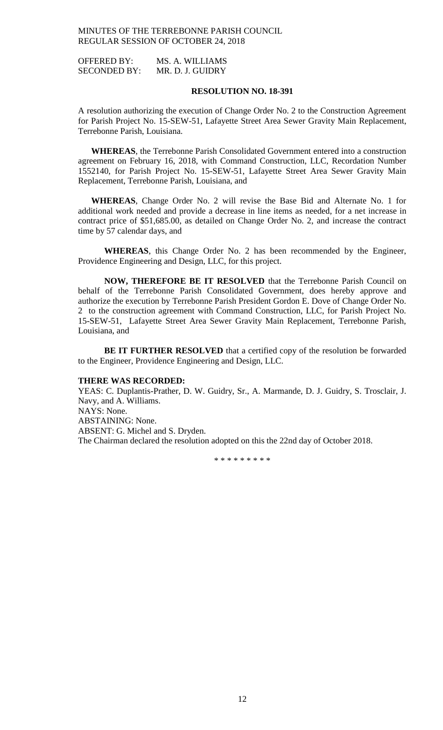OFFERED BY: MS. A. WILLIAMS SECONDED BY: MR. D. J. GUIDRY

### **RESOLUTION NO. 18-391**

A resolution authorizing the execution of Change Order No. 2 to the Construction Agreement for Parish Project No. 15-SEW-51, Lafayette Street Area Sewer Gravity Main Replacement, Terrebonne Parish, Louisiana.

**WHEREAS**, the Terrebonne Parish Consolidated Government entered into a construction agreement on February 16, 2018, with Command Construction, LLC, Recordation Number 1552140, for Parish Project No. 15-SEW-51, Lafayette Street Area Sewer Gravity Main Replacement, Terrebonne Parish, Louisiana, and

**WHEREAS**, Change Order No. 2 will revise the Base Bid and Alternate No. 1 for additional work needed and provide a decrease in line items as needed, for a net increase in contract price of \$51,685.00, as detailed on Change Order No. 2, and increase the contract time by 57 calendar days, and

**WHEREAS**, this Change Order No. 2 has been recommended by the Engineer, Providence Engineering and Design, LLC, for this project.

**NOW, THEREFORE BE IT RESOLVED** that the Terrebonne Parish Council on behalf of the Terrebonne Parish Consolidated Government, does hereby approve and authorize the execution by Terrebonne Parish President Gordon E. Dove of Change Order No. 2 to the construction agreement with Command Construction, LLC, for Parish Project No. 15-SEW-51, Lafayette Street Area Sewer Gravity Main Replacement, Terrebonne Parish, Louisiana, and

**BE IT FURTHER RESOLVED** that a certified copy of the resolution be forwarded to the Engineer, Providence Engineering and Design, LLC.

### **THERE WAS RECORDED:**

YEAS: C. Duplantis-Prather, D. W. Guidry, Sr., A. Marmande, D. J. Guidry, S. Trosclair, J. Navy, and A. Williams. NAYS: None. ABSTAINING: None. ABSENT: G. Michel and S. Dryden. The Chairman declared the resolution adopted on this the 22nd day of October 2018.

\* \* \* \* \* \* \* \* \*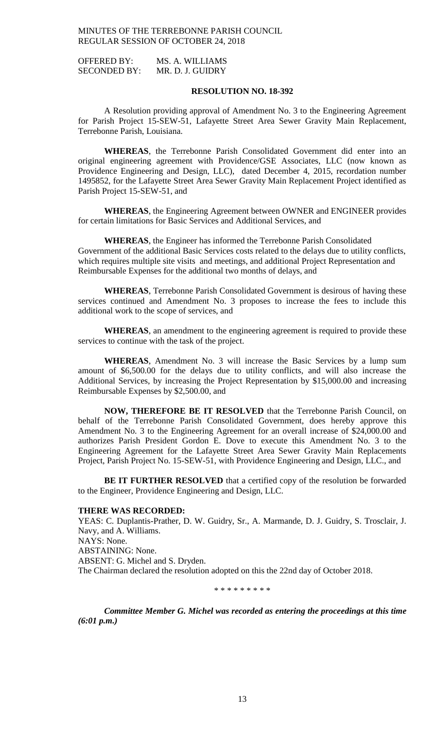OFFERED BY: MS. A. WILLIAMS SECONDED BY: MR. D. J. GUIDRY

### **RESOLUTION NO. 18-392**

A Resolution providing approval of Amendment No. 3 to the Engineering Agreement for Parish Project 15-SEW-51, Lafayette Street Area Sewer Gravity Main Replacement, Terrebonne Parish, Louisiana.

**WHEREAS**, the Terrebonne Parish Consolidated Government did enter into an original engineering agreement with Providence/GSE Associates, LLC (now known as Providence Engineering and Design, LLC), dated December 4, 2015, recordation number 1495852, for the Lafayette Street Area Sewer Gravity Main Replacement Project identified as Parish Project 15-SEW-51, and

**WHEREAS**, the Engineering Agreement between OWNER and ENGINEER provides for certain limitations for Basic Services and Additional Services, and

**WHEREAS**, the Engineer has informed the Terrebonne Parish Consolidated Government of the additional Basic Services costs related to the delays due to utility conflicts, which requires multiple site visits and meetings, and additional Project Representation and Reimbursable Expenses for the additional two months of delays, and

**WHEREAS**, Terrebonne Parish Consolidated Government is desirous of having these services continued and Amendment No. 3 proposes to increase the fees to include this additional work to the scope of services, and

**WHEREAS**, an amendment to the engineering agreement is required to provide these services to continue with the task of the project.

**WHEREAS**, Amendment No. 3 will increase the Basic Services by a lump sum amount of \$6,500.00 for the delays due to utility conflicts, and will also increase the Additional Services, by increasing the Project Representation by \$15,000.00 and increasing Reimbursable Expenses by \$2,500.00, and

**NOW, THEREFORE BE IT RESOLVED** that the Terrebonne Parish Council, on behalf of the Terrebonne Parish Consolidated Government, does hereby approve this Amendment No. 3 to the Engineering Agreement for an overall increase of \$24,000.00 and authorizes Parish President Gordon E. Dove to execute this Amendment No. 3 to the Engineering Agreement for the Lafayette Street Area Sewer Gravity Main Replacements Project, Parish Project No. 15-SEW-51, with Providence Engineering and Design, LLC., and

**BE IT FURTHER RESOLVED** that a certified copy of the resolution be forwarded to the Engineer, Providence Engineering and Design, LLC.

#### **THERE WAS RECORDED:**

YEAS: C. Duplantis-Prather, D. W. Guidry, Sr., A. Marmande, D. J. Guidry, S. Trosclair, J. Navy, and A. Williams. NAYS: None. ABSTAINING: None. ABSENT: G. Michel and S. Dryden. The Chairman declared the resolution adopted on this the 22nd day of October 2018.

\* \* \* \* \* \* \* \* \*

*Committee Member G. Michel was recorded as entering the proceedings at this time (6:01 p.m.)*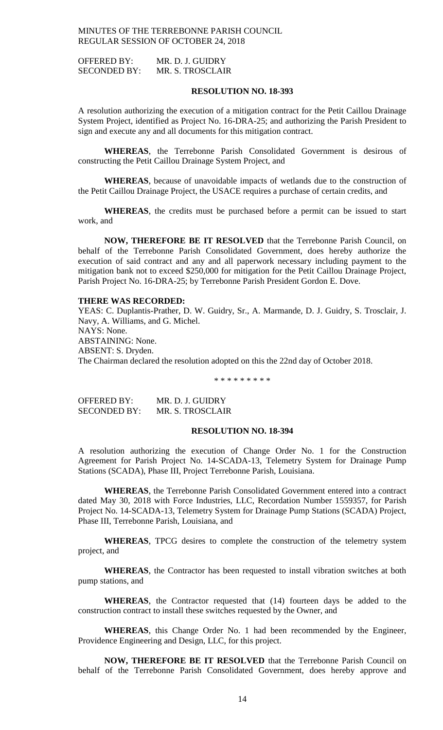OFFERED BY: MR. D. J. GUIDRY SECONDED BY: MR. S. TROSCLAIR

### **RESOLUTION NO. 18-393**

A resolution authorizing the execution of a mitigation contract for the Petit Caillou Drainage System Project, identified as Project No. 16-DRA-25; and authorizing the Parish President to sign and execute any and all documents for this mitigation contract.

**WHEREAS**, the Terrebonne Parish Consolidated Government is desirous of constructing the Petit Caillou Drainage System Project, and

**WHEREAS**, because of unavoidable impacts of wetlands due to the construction of the Petit Caillou Drainage Project, the USACE requires a purchase of certain credits, and

**WHEREAS**, the credits must be purchased before a permit can be issued to start work, and

**NOW, THEREFORE BE IT RESOLVED** that the Terrebonne Parish Council, on behalf of the Terrebonne Parish Consolidated Government, does hereby authorize the execution of said contract and any and all paperwork necessary including payment to the mitigation bank not to exceed \$250,000 for mitigation for the Petit Caillou Drainage Project, Parish Project No. 16-DRA-25; by Terrebonne Parish President Gordon E. Dove.

### **THERE WAS RECORDED:**

YEAS: C. Duplantis-Prather, D. W. Guidry, Sr., A. Marmande, D. J. Guidry, S. Trosclair, J. Navy, A. Williams, and G. Michel. NAYS: None. ABSTAINING: None. ABSENT: S. Dryden. The Chairman declared the resolution adopted on this the 22nd day of October 2018.

\* \* \* \* \* \* \* \* \*

| OFFERED BY:         | MR. D. J. GUIDRY |
|---------------------|------------------|
| <b>SECONDED BY:</b> | MR. S. TROSCLAIR |

### **RESOLUTION NO. 18-394**

A resolution authorizing the execution of Change Order No. 1 for the Construction Agreement for Parish Project No. 14-SCADA-13, Telemetry System for Drainage Pump Stations (SCADA), Phase III, Project Terrebonne Parish, Louisiana.

**WHEREAS**, the Terrebonne Parish Consolidated Government entered into a contract dated May 30, 2018 with Force Industries, LLC, Recordation Number 1559357, for Parish Project No. 14-SCADA-13, Telemetry System for Drainage Pump Stations (SCADA) Project, Phase III, Terrebonne Parish, Louisiana, and

**WHEREAS**, TPCG desires to complete the construction of the telemetry system project, and

**WHEREAS**, the Contractor has been requested to install vibration switches at both pump stations, and

**WHEREAS**, the Contractor requested that (14) fourteen days be added to the construction contract to install these switches requested by the Owner, and

**WHEREAS**, this Change Order No. 1 had been recommended by the Engineer, Providence Engineering and Design, LLC, for this project.

**NOW, THEREFORE BE IT RESOLVED** that the Terrebonne Parish Council on behalf of the Terrebonne Parish Consolidated Government, does hereby approve and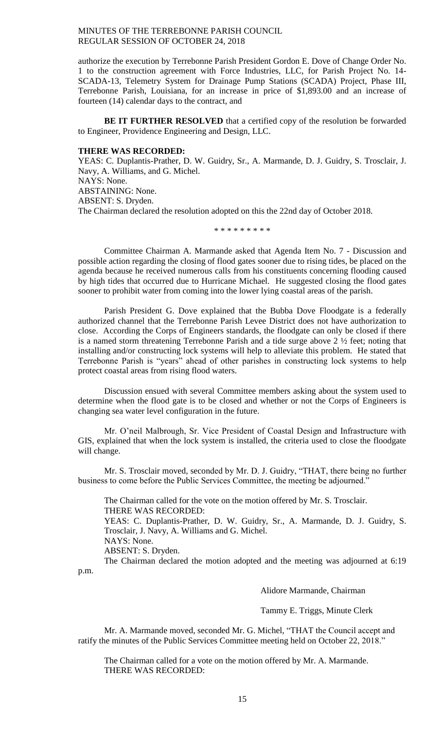authorize the execution by Terrebonne Parish President Gordon E. Dove of Change Order No. 1 to the construction agreement with Force Industries, LLC, for Parish Project No. 14- SCADA-13, Telemetry System for Drainage Pump Stations (SCADA) Project, Phase III, Terrebonne Parish, Louisiana, for an increase in price of \$1,893.00 and an increase of fourteen (14) calendar days to the contract, and

**BE IT FURTHER RESOLVED** that a certified copy of the resolution be forwarded to Engineer, Providence Engineering and Design, LLC.

#### **THERE WAS RECORDED:**

YEAS: C. Duplantis-Prather, D. W. Guidry, Sr., A. Marmande, D. J. Guidry, S. Trosclair, J. Navy, A. Williams, and G. Michel. NAYS: None. ABSTAINING: None. ABSENT: S. Dryden. The Chairman declared the resolution adopted on this the 22nd day of October 2018.

\* \* \* \* \* \* \* \* \*

Committee Chairman A. Marmande asked that Agenda Item No. 7 - Discussion and possible action regarding the closing of flood gates sooner due to rising tides, be placed on the agenda because he received numerous calls from his constituents concerning flooding caused by high tides that occurred due to Hurricane Michael. He suggested closing the flood gates sooner to prohibit water from coming into the lower lying coastal areas of the parish.

Parish President G. Dove explained that the Bubba Dove Floodgate is a federally authorized channel that the Terrebonne Parish Levee District does not have authorization to close. According the Corps of Engineers standards, the floodgate can only be closed if there is a named storm threatening Terrebonne Parish and a tide surge above 2 ½ feet; noting that installing and/or constructing lock systems will help to alleviate this problem. He stated that Terrebonne Parish is "years" ahead of other parishes in constructing lock systems to help protect coastal areas from rising flood waters.

Discussion ensued with several Committee members asking about the system used to determine when the flood gate is to be closed and whether or not the Corps of Engineers is changing sea water level configuration in the future.

Mr. O'neil Malbrough, Sr. Vice President of Coastal Design and Infrastructure with GIS, explained that when the lock system is installed, the criteria used to close the floodgate will change.

Mr. S. Trosclair moved, seconded by Mr. D. J. Guidry, "THAT, there being no further business to come before the Public Services Committee, the meeting be adjourned."

The Chairman called for the vote on the motion offered by Mr. S. Trosclair. THERE WAS RECORDED: YEAS: C. Duplantis-Prather, D. W. Guidry, Sr., A. Marmande, D. J. Guidry, S. Trosclair, J. Navy, A. Williams and G. Michel. NAYS: None. ABSENT: S. Dryden.

The Chairman declared the motion adopted and the meeting was adjourned at 6:19 p.m.

Alidore Marmande, Chairman

Tammy E. Triggs, Minute Clerk

Mr. A. Marmande moved, seconded Mr. G. Michel, "THAT the Council accept and ratify the minutes of the Public Services Committee meeting held on October 22, 2018."

The Chairman called for a vote on the motion offered by Mr. A. Marmande. THERE WAS RECORDED: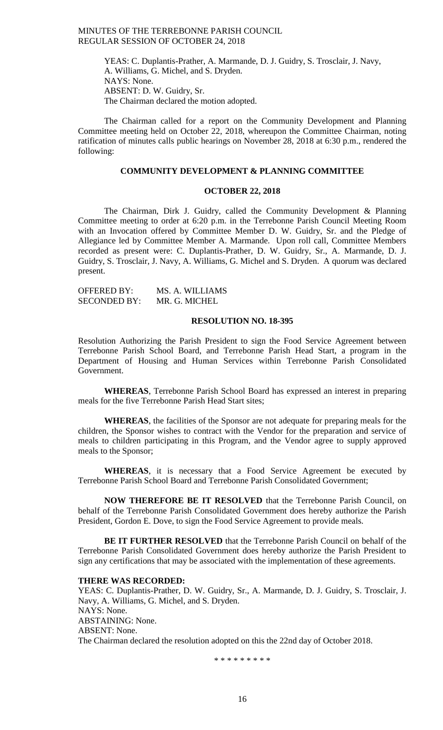YEAS: C. Duplantis-Prather, A. Marmande, D. J. Guidry, S. Trosclair, J. Navy, A. Williams, G. Michel, and S. Dryden. NAYS: None. ABSENT: D. W. Guidry, Sr. The Chairman declared the motion adopted.

The Chairman called for a report on the Community Development and Planning Committee meeting held on October 22, 2018, whereupon the Committee Chairman, noting ratification of minutes calls public hearings on November 28, 2018 at 6:30 p.m., rendered the following:

# **COMMUNITY DEVELOPMENT & PLANNING COMMITTEE**

# **OCTOBER 22, 2018**

The Chairman, Dirk J. Guidry, called the Community Development & Planning Committee meeting to order at 6:20 p.m. in the Terrebonne Parish Council Meeting Room with an Invocation offered by Committee Member D. W. Guidry, Sr. and the Pledge of Allegiance led by Committee Member A. Marmande. Upon roll call, Committee Members recorded as present were: C. Duplantis-Prather, D. W. Guidry, Sr., A. Marmande, D. J. Guidry, S. Trosclair, J. Navy, A. Williams, G. Michel and S. Dryden. A quorum was declared present.

| <b>OFFERED BY:</b>  | MS. A. WILLIAMS |
|---------------------|-----------------|
| <b>SECONDED BY:</b> | MR. G. MICHEL   |

# **RESOLUTION NO. 18-395**

Resolution Authorizing the Parish President to sign the Food Service Agreement between Terrebonne Parish School Board, and Terrebonne Parish Head Start, a program in the Department of Housing and Human Services within Terrebonne Parish Consolidated Government.

**WHEREAS**, Terrebonne Parish School Board has expressed an interest in preparing meals for the five Terrebonne Parish Head Start sites;

**WHEREAS**, the facilities of the Sponsor are not adequate for preparing meals for the children, the Sponsor wishes to contract with the Vendor for the preparation and service of meals to children participating in this Program, and the Vendor agree to supply approved meals to the Sponsor;

**WHEREAS**, it is necessary that a Food Service Agreement be executed by Terrebonne Parish School Board and Terrebonne Parish Consolidated Government;

**NOW THEREFORE BE IT RESOLVED** that the Terrebonne Parish Council, on behalf of the Terrebonne Parish Consolidated Government does hereby authorize the Parish President, Gordon E. Dove, to sign the Food Service Agreement to provide meals.

**BE IT FURTHER RESOLVED** that the Terrebonne Parish Council on behalf of the Terrebonne Parish Consolidated Government does hereby authorize the Parish President to sign any certifications that may be associated with the implementation of these agreements.

### **THERE WAS RECORDED:**

YEAS: C. Duplantis-Prather, D. W. Guidry, Sr., A. Marmande, D. J. Guidry, S. Trosclair, J. Navy, A. Williams, G. Michel, and S. Dryden. NAYS: None. ABSTAINING: None. ABSENT: None. The Chairman declared the resolution adopted on this the 22nd day of October 2018.

\* \* \* \* \* \* \* \* \*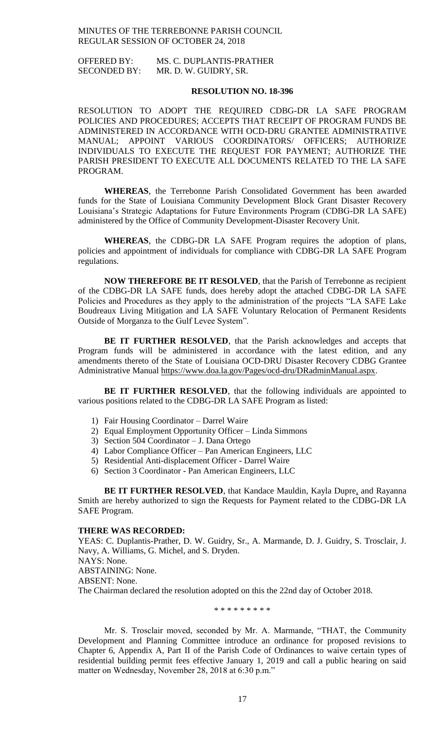OFFERED BY: MS. C. DUPLANTIS-PRATHER SECONDED BY: MR. D. W. GUIDRY, SR.

# **RESOLUTION NO. 18-396**

RESOLUTION TO ADOPT THE REQUIRED CDBG-DR LA SAFE PROGRAM POLICIES AND PROCEDURES; ACCEPTS THAT RECEIPT OF PROGRAM FUNDS BE ADMINISTERED IN ACCORDANCE WITH OCD-DRU GRANTEE ADMINISTRATIVE MANUAL; APPOINT VARIOUS COORDINATORS/ OFFICERS; AUTHORIZE INDIVIDUALS TO EXECUTE THE REQUEST FOR PAYMENT; AUTHORIZE THE PARISH PRESIDENT TO EXECUTE ALL DOCUMENTS RELATED TO THE LA SAFE PROGRAM.

**WHEREAS**, the Terrebonne Parish Consolidated Government has been awarded funds for the State of Louisiana Community Development Block Grant Disaster Recovery Louisiana's Strategic Adaptations for Future Environments Program (CDBG-DR LA SAFE) administered by the Office of Community Development-Disaster Recovery Unit.

**WHEREAS**, the CDBG-DR LA SAFE Program requires the adoption of plans, policies and appointment of individuals for compliance with CDBG-DR LA SAFE Program regulations.

**NOW THEREFORE BE IT RESOLVED**, that the Parish of Terrebonne as recipient of the CDBG-DR LA SAFE funds, does hereby adopt the attached CDBG-DR LA SAFE Policies and Procedures as they apply to the administration of the projects "LA SAFE Lake Boudreaux Living Mitigation and LA SAFE Voluntary Relocation of Permanent Residents Outside of Morganza to the Gulf Levee System".

**BE IT FURTHER RESOLVED**, that the Parish acknowledges and accepts that Program funds will be administered in accordance with the latest edition, and any amendments thereto of the State of Louisiana OCD-DRU Disaster Recovery CDBG Grantee Administrative Manual [https://www.doa.la.gov/Pages/ocd-dru/DRadminManual.aspx.](https://www.doa.la.gov/Pages/ocd-dru/DRadminManual.aspx)

**BE IT FURTHER RESOLVED**, that the following individuals are appointed to various positions related to the CDBG-DR LA SAFE Program as listed:

- 1) Fair Housing Coordinator Darrel Waire
- 2) Equal Employment Opportunity Officer Linda Simmons
- 3) Section 504 Coordinator J. Dana Ortego
- 4) Labor Compliance Officer Pan American Engineers, LLC
- 5) Residential Anti-displacement Officer Darrel Waire
- 6) Section 3 Coordinator Pan American Engineers, LLC

**BE IT FURTHER RESOLVED**, that Kandace Mauldin, Kayla Dupre, and Rayanna Smith are hereby authorized to sign the Requests for Payment related to the CDBG-DR LA SAFE Program.

# **THERE WAS RECORDED:**

YEAS: C. Duplantis-Prather, D. W. Guidry, Sr., A. Marmande, D. J. Guidry, S. Trosclair, J. Navy, A. Williams, G. Michel, and S. Dryden. NAYS: None. ABSTAINING: None. ABSENT: None.

The Chairman declared the resolution adopted on this the 22nd day of October 2018.

\* \* \* \* \* \* \* \* \*

Mr. S. Trosclair moved, seconded by Mr. A. Marmande, "THAT, the Community Development and Planning Committee introduce an ordinance for proposed revisions to Chapter 6, Appendix A, Part II of the Parish Code of Ordinances to waive certain types of residential building permit fees effective January 1, 2019 and call a public hearing on said matter on Wednesday, November 28, 2018 at 6:30 p.m."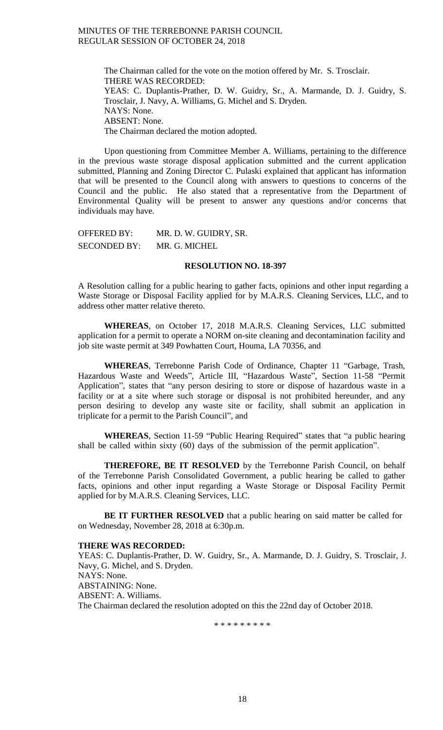The Chairman called for the vote on the motion offered by Mr. S. Trosclair. THERE WAS RECORDED: YEAS: C. Duplantis-Prather, D. W. Guidry, Sr., A. Marmande, D. J. Guidry, S. Trosclair, J. Navy, A. Williams, G. Michel and S. Dryden. NAYS: None. ABSENT: None. The Chairman declared the motion adopted.

Upon questioning from Committee Member A. Williams, pertaining to the difference in the previous waste storage disposal application submitted and the current application submitted, Planning and Zoning Director C. Pulaski explained that applicant has information that will be presented to the Council along with answers to questions to concerns of the Council and the public. He also stated that a representative from the Department of Environmental Quality will be present to answer any questions and/or concerns that individuals may have.

OFFERED BY: MR. D. W. GUIDRY, SR. SECONDED BY: MR. G. MICHEL

### **RESOLUTION NO. 18-397**

A Resolution calling for a public hearing to gather facts, opinions and other input regarding a Waste Storage or Disposal Facility applied for by M.A.R.S. Cleaning Services, LLC, and to address other matter relative thereto.

**WHEREAS**, on October 17, 2018 M.A.R.S. Cleaning Services, LLC submitted application for a permit to operate a NORM on-site cleaning and decontamination facility and job site waste permit at 349 Powhatten Court, Houma, LA 70356, and

**WHEREAS**, Terrebonne Parish Code of Ordinance, Chapter 11 "Garbage, Trash, Hazardous Waste and Weeds", Article III, "Hazardous Waste", Section 11-58 "Permit Application", states that "any person desiring to store or dispose of hazardous waste in a facility or at a site where such storage or disposal is not prohibited hereunder, and any person desiring to develop any waste site or facility, shall submit an application in triplicate for a permit to the Parish Council", and

**WHEREAS**, Section 11-59 "Public Hearing Required" states that "a public hearing shall be called within sixty (60) days of the submission of the permit application".

**THEREFORE, BE IT RESOLVED** by the Terrebonne Parish Council, on behalf of the Terrebonne Parish Consolidated Government, a public hearing be called to gather facts, opinions and other input regarding a Waste Storage or Disposal Facility Permit applied for by M.A.R.S. Cleaning Services, LLC.

**BE IT FURTHER RESOLVED** that a public hearing on said matter be called for on Wednesday, November 28, 2018 at 6:30p.m.

#### **THERE WAS RECORDED:**

YEAS: C. Duplantis-Prather, D. W. Guidry, Sr., A. Marmande, D. J. Guidry, S. Trosclair, J. Navy, G. Michel, and S. Dryden. NAYS: None. ABSTAINING: None. ABSENT: A. Williams. The Chairman declared the resolution adopted on this the 22nd day of October 2018.

\* \* \* \* \* \* \* \*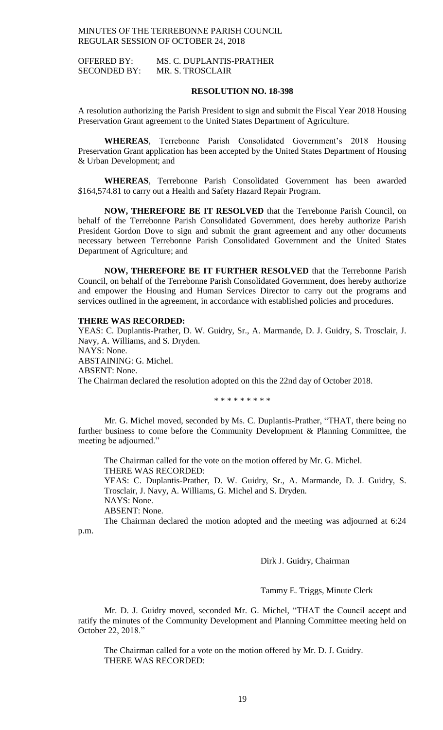OFFERED BY: MS. C. DUPLANTIS-PRATHER SECONDED BY: MR. S. TROSCLAIR

### **RESOLUTION NO. 18-398**

A resolution authorizing the Parish President to sign and submit the Fiscal Year 2018 Housing Preservation Grant agreement to the United States Department of Agriculture.

**WHEREAS**, Terrebonne Parish Consolidated Government's 2018 Housing Preservation Grant application has been accepted by the United States Department of Housing & Urban Development; and

**WHEREAS**, Terrebonne Parish Consolidated Government has been awarded \$164,574.81 to carry out a Health and Safety Hazard Repair Program.

**NOW, THEREFORE BE IT RESOLVED** that the Terrebonne Parish Council, on behalf of the Terrebonne Parish Consolidated Government, does hereby authorize Parish President Gordon Dove to sign and submit the grant agreement and any other documents necessary between Terrebonne Parish Consolidated Government and the United States Department of Agriculture; and

**NOW, THEREFORE BE IT FURTHER RESOLVED** that the Terrebonne Parish Council, on behalf of the Terrebonne Parish Consolidated Government, does hereby authorize and empower the Housing and Human Services Director to carry out the programs and services outlined in the agreement, in accordance with established policies and procedures.

### **THERE WAS RECORDED:**

YEAS: C. Duplantis-Prather, D. W. Guidry, Sr., A. Marmande, D. J. Guidry, S. Trosclair, J. Navy, A. Williams, and S. Dryden. NAYS: None. ABSTAINING: G. Michel. ABSENT: None. The Chairman declared the resolution adopted on this the 22nd day of October 2018.

\* \* \* \* \* \* \* \* \*

Mr. G. Michel moved, seconded by Ms. C. Duplantis-Prather, "THAT, there being no further business to come before the Community Development & Planning Committee, the meeting be adjourned."

The Chairman called for the vote on the motion offered by Mr. G. Michel. THERE WAS RECORDED:

YEAS: C. Duplantis-Prather, D. W. Guidry, Sr., A. Marmande, D. J. Guidry, S. Trosclair, J. Navy, A. Williams, G. Michel and S. Dryden.

NAYS: None.

ABSENT: None.

The Chairman declared the motion adopted and the meeting was adjourned at 6:24

p.m.

Dirk J. Guidry, Chairman

Tammy E. Triggs, Minute Clerk

Mr. D. J. Guidry moved, seconded Mr. G. Michel, "THAT the Council accept and ratify the minutes of the Community Development and Planning Committee meeting held on October 22, 2018."

The Chairman called for a vote on the motion offered by Mr. D. J. Guidry. THERE WAS RECORDED: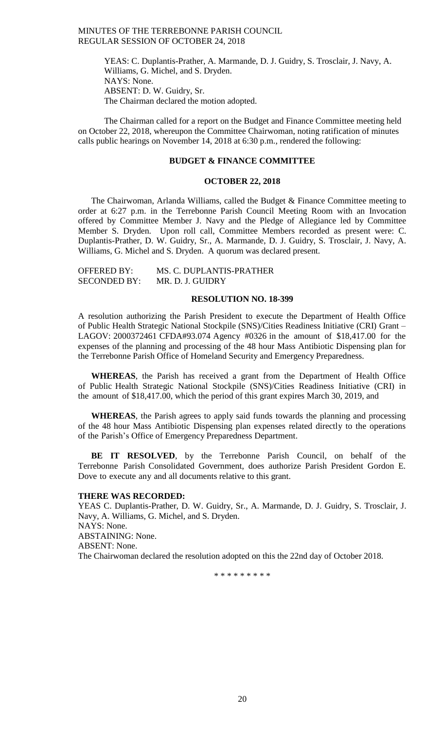YEAS: C. Duplantis-Prather, A. Marmande, D. J. Guidry, S. Trosclair, J. Navy, A. Williams, G. Michel, and S. Dryden. NAYS: None. ABSENT: D. W. Guidry, Sr. The Chairman declared the motion adopted.

The Chairman called for a report on the Budget and Finance Committee meeting held on October 22, 2018, whereupon the Committee Chairwoman, noting ratification of minutes calls public hearings on November 14, 2018 at 6:30 p.m., rendered the following:

# **BUDGET & FINANCE COMMITTEE**

#### **OCTOBER 22, 2018**

The Chairwoman, Arlanda Williams, called the Budget & Finance Committee meeting to order at 6:27 p.m. in the Terrebonne Parish Council Meeting Room with an Invocation offered by Committee Member J. Navy and the Pledge of Allegiance led by Committee Member S. Dryden. Upon roll call, Committee Members recorded as present were: C. Duplantis-Prather, D. W. Guidry, Sr., A. Marmande, D. J. Guidry, S. Trosclair, J. Navy, A. Williams, G. Michel and S. Dryden. A quorum was declared present.

| OFFERED BY:         | MS. C. DUPLANTIS-PRATHER |
|---------------------|--------------------------|
| <b>SECONDED BY:</b> | MR. D. J. GUIDRY         |

### **RESOLUTION NO. 18-399**

A resolution authorizing the Parish President to execute the Department of Health Office of Public Health Strategic National Stockpile (SNS)/Cities Readiness Initiative (CRI) Grant – LAGOV: 2000372461 CFDA#93.074 Agency #0326 in the amount of \$18,417.00 for the expenses of the planning and processing of the 48 hour Mass Antibiotic Dispensing plan for the Terrebonne Parish Office of Homeland Security and Emergency Preparedness.

**WHEREAS**, the Parish has received a grant from the Department of Health Office of Public Health Strategic National Stockpile (SNS)/Cities Readiness Initiative (CRI) in the amount of \$18,417.00, which the period of this grant expires March 30, 2019, and

**WHEREAS**, the Parish agrees to apply said funds towards the planning and processing of the 48 hour Mass Antibiotic Dispensing plan expenses related directly to the operations of the Parish's Office of Emergency Preparedness Department.

**BE IT RESOLVED**, by the Terrebonne Parish Council, on behalf of the Terrebonne Parish Consolidated Government, does authorize Parish President Gordon E. Dove to execute any and all documents relative to this grant.

#### **THERE WAS RECORDED:**

YEAS C. Duplantis-Prather, D. W. Guidry, Sr., A. Marmande, D. J. Guidry, S. Trosclair, J. Navy, A. Williams, G. Michel, and S. Dryden. NAYS: None. ABSTAINING: None. ABSENT: None. The Chairwoman declared the resolution adopted on this the 22nd day of October 2018.

\* \* \* \* \* \* \* \* \*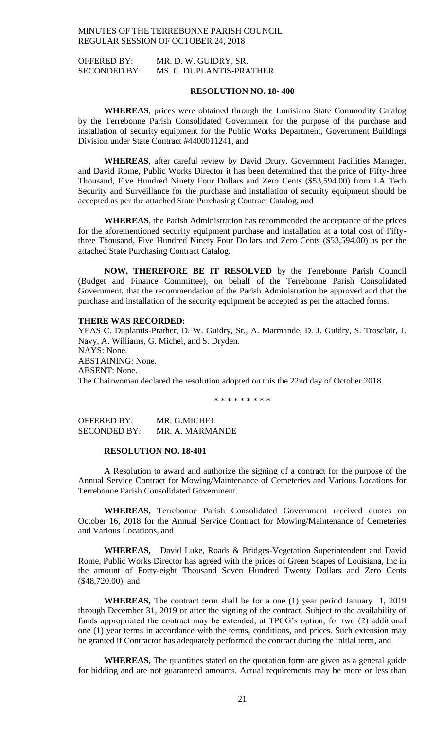OFFERED BY: MR. D. W. GUIDRY, SR. SECONDED BY: MS. C. DUPLANTIS-PRATHER

### **RESOLUTION NO. 18- 400**

**WHEREAS**, prices were obtained through the Louisiana State Commodity Catalog by the Terrebonne Parish Consolidated Government for the purpose of the purchase and installation of security equipment for the Public Works Department, Government Buildings Division under State Contract #4400011241, and

**WHEREAS**, after careful review by David Drury, Government Facilities Manager, and David Rome, Public Works Director it has been determined that the price of Fifty-three Thousand, Five Hundred Ninety Four Dollars and Zero Cents (\$53,594.00) from LA Tech Security and Surveillance for the purchase and installation of security equipment should be accepted as per the attached State Purchasing Contract Catalog, and

**WHEREAS**, the Parish Administration has recommended the acceptance of the prices for the aforementioned security equipment purchase and installation at a total cost of Fiftythree Thousand, Five Hundred Ninety Four Dollars and Zero Cents (\$53,594.00) as per the attached State Purchasing Contract Catalog.

**NOW, THEREFORE BE IT RESOLVED** by the Terrebonne Parish Council (Budget and Finance Committee), on behalf of the Terrebonne Parish Consolidated Government, that the recommendation of the Parish Administration be approved and that the purchase and installation of the security equipment be accepted as per the attached forms.

### **THERE WAS RECORDED:**

YEAS C. Duplantis-Prather, D. W. Guidry, Sr., A. Marmande, D. J. Guidry, S. Trosclair, J. Navy, A. Williams, G. Michel, and S. Dryden. NAYS: None. ABSTAINING: None. ABSENT: None. The Chairwoman declared the resolution adopted on this the 22nd day of October 2018.

\* \* \* \* \* \* \* \* \*

OFFERED BY: MR. G.MICHEL SECONDED BY: MR. A. MARMANDE

#### **RESOLUTION NO. 18-401**

A Resolution to award and authorize the signing of a contract for the purpose of the Annual Service Contract for Mowing/Maintenance of Cemeteries and Various Locations for Terrebonne Parish Consolidated Government.

**WHEREAS,** Terrebonne Parish Consolidated Government received quotes on October 16, 2018 for the Annual Service Contract for Mowing/Maintenance of Cemeteries and Various Locations, and

**WHEREAS,** David Luke, Roads & Bridges-Vegetation Superintendent and David Rome, Public Works Director has agreed with the prices of Green Scapes of Louisiana, Inc in the amount of Forty-eight Thousand Seven Hundred Twenty Dollars and Zero Cents (\$48,720.00), and

**WHEREAS,** The contract term shall be for a one (1) year period January 1, 2019 through December 31, 2019 or after the signing of the contract. Subject to the availability of funds appropriated the contract may be extended, at TPCG's option, for two (2) additional one (1) year terms in accordance with the terms, conditions, and prices. Such extension may be granted if Contractor has adequately performed the contract during the initial term, and

**WHEREAS,** The quantities stated on the quotation form are given as a general guide for bidding and are not guaranteed amounts. Actual requirements may be more or less than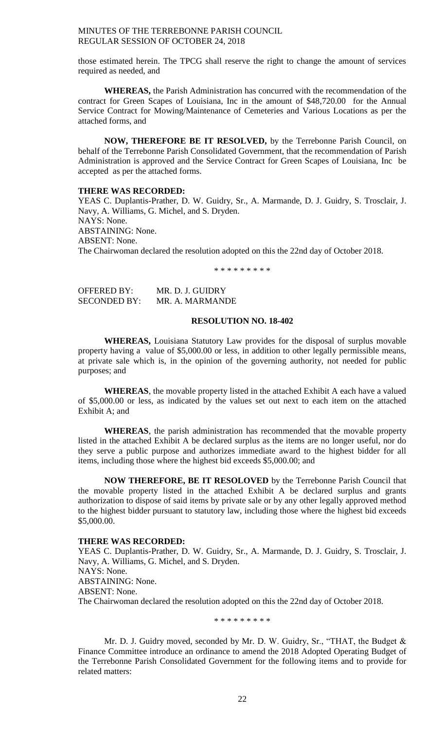those estimated herein. The TPCG shall reserve the right to change the amount of services required as needed, and

**WHEREAS,** the Parish Administration has concurred with the recommendation of the contract for Green Scapes of Louisiana, Inc in the amount of \$48,720.00 for the Annual Service Contract for Mowing/Maintenance of Cemeteries and Various Locations as per the attached forms, and

**NOW, THEREFORE BE IT RESOLVED,** by the Terrebonne Parish Council, on behalf of the Terrebonne Parish Consolidated Government, that the recommendation of Parish Administration is approved and the Service Contract for Green Scapes of Louisiana, Inc be accepted as per the attached forms.

### **THERE WAS RECORDED:**

YEAS C. Duplantis-Prather, D. W. Guidry, Sr., A. Marmande, D. J. Guidry, S. Trosclair, J. Navy, A. Williams, G. Michel, and S. Dryden. NAYS: None. ABSTAINING: None. ABSENT: None. The Chairwoman declared the resolution adopted on this the 22nd day of October 2018.

\* \* \* \* \* \* \* \* \*

| OFFERED BY:  | MR. D. J. GUIDRY |
|--------------|------------------|
| SECONDED BY: | MR. A. MARMANDE  |

# **RESOLUTION NO. 18-402**

**WHEREAS,** Louisiana Statutory Law provides for the disposal of surplus movable property having a value of \$5,000.00 or less, in addition to other legally permissible means, at private sale which is, in the opinion of the governing authority, not needed for public purposes; and

**WHEREAS**, the movable property listed in the attached Exhibit A each have a valued of \$5,000.00 or less, as indicated by the values set out next to each item on the attached Exhibit A; and

**WHEREAS**, the parish administration has recommended that the movable property listed in the attached Exhibit A be declared surplus as the items are no longer useful, nor do they serve a public purpose and authorizes immediate award to the highest bidder for all items, including those where the highest bid exceeds \$5,000.00; and

**NOW THEREFORE, BE IT RESOLOVED** by the Terrebonne Parish Council that the movable property listed in the attached Exhibit A be declared surplus and grants authorization to dispose of said items by private sale or by any other legally approved method to the highest bidder pursuant to statutory law, including those where the highest bid exceeds \$5,000.00.

# **THERE WAS RECORDED:**

YEAS C. Duplantis-Prather, D. W. Guidry, Sr., A. Marmande, D. J. Guidry, S. Trosclair, J. Navy, A. Williams, G. Michel, and S. Dryden. NAYS: None. ABSTAINING: None. ABSENT: None. The Chairwoman declared the resolution adopted on this the 22nd day of October 2018.

\* \* \* \* \* \* \* \* \*

Mr. D. J. Guidry moved, seconded by Mr. D. W. Guidry, Sr., "THAT, the Budget & Finance Committee introduce an ordinance to amend the 2018 Adopted Operating Budget of the Terrebonne Parish Consolidated Government for the following items and to provide for related matters: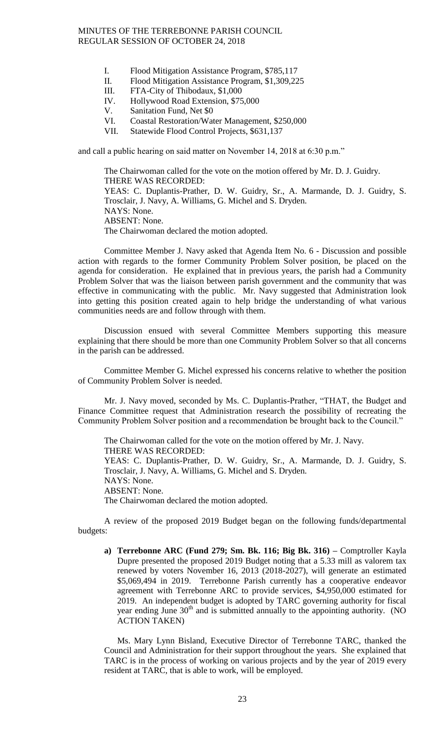- I. Flood Mitigation Assistance Program, \$785,117
- II. Flood Mitigation Assistance Program, \$1,309,225
- III. FTA-City of Thibodaux, \$1,000
- IV. Hollywood Road Extension, \$75,000
- V. Sanitation Fund, Net \$0
- VI. Coastal Restoration/Water Management, \$250,000
- VII. Statewide Flood Control Projects, \$631,137

and call a public hearing on said matter on November 14, 2018 at 6:30 p.m."

The Chairwoman called for the vote on the motion offered by Mr. D. J. Guidry. THERE WAS RECORDED: YEAS: C. Duplantis-Prather, D. W. Guidry, Sr., A. Marmande, D. J. Guidry, S. Trosclair, J. Navy, A. Williams, G. Michel and S. Dryden. NAYS: None. ABSENT: None. The Chairwoman declared the motion adopted.

Committee Member J. Navy asked that Agenda Item No. 6 - Discussion and possible action with regards to the former Community Problem Solver position, be placed on the agenda for consideration. He explained that in previous years, the parish had a Community Problem Solver that was the liaison between parish government and the community that was effective in communicating with the public. Mr. Navy suggested that Administration look into getting this position created again to help bridge the understanding of what various communities needs are and follow through with them.

Discussion ensued with several Committee Members supporting this measure explaining that there should be more than one Community Problem Solver so that all concerns in the parish can be addressed.

Committee Member G. Michel expressed his concerns relative to whether the position of Community Problem Solver is needed.

Mr. J. Navy moved, seconded by Ms. C. Duplantis-Prather, "THAT, the Budget and Finance Committee request that Administration research the possibility of recreating the Community Problem Solver position and a recommendation be brought back to the Council."

The Chairwoman called for the vote on the motion offered by Mr. J. Navy. THERE WAS RECORDED: YEAS: C. Duplantis-Prather, D. W. Guidry, Sr., A. Marmande, D. J. Guidry, S. Trosclair, J. Navy, A. Williams, G. Michel and S. Dryden. NAYS: None. ABSENT: None. The Chairwoman declared the motion adopted.

A review of the proposed 2019 Budget began on the following funds/departmental budgets:

**a) Terrebonne ARC (Fund 279; Sm. Bk. 116; Big Bk. 316) –** Comptroller Kayla Dupre presented the proposed 2019 Budget noting that a 5.33 mill as valorem tax renewed by voters November 16, 2013 (2018-2027), will generate an estimated \$5,069,494 in 2019. Terrebonne Parish currently has a cooperative endeavor agreement with Terrebonne ARC to provide services, \$4,950,000 estimated for 2019. An independent budget is adopted by TARC governing authority for fiscal year ending June  $30<sup>th</sup>$  and is submitted annually to the appointing authority. (NO ACTION TAKEN)

Ms. Mary Lynn Bisland, Executive Director of Terrebonne TARC, thanked the Council and Administration for their support throughout the years. She explained that TARC is in the process of working on various projects and by the year of 2019 every resident at TARC, that is able to work, will be employed.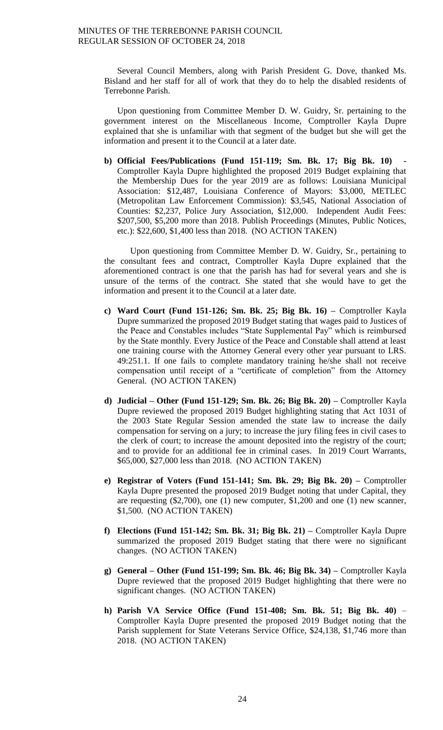Several Council Members, along with Parish President G. Dove, thanked Ms. Bisland and her staff for all of work that they do to help the disabled residents of Terrebonne Parish.

Upon questioning from Committee Member D. W. Guidry, Sr. pertaining to the government interest on the Miscellaneous Income, Comptroller Kayla Dupre explained that she is unfamiliar with that segment of the budget but she will get the information and present it to the Council at a later date.

**b) Official Fees/Publications (Fund 151-119; Sm. Bk. 17; Big Bk. 10)** Comptroller Kayla Dupre highlighted the proposed 2019 Budget explaining that the Membership Dues for the year 2019 are as follows: Louisiana Municipal Association: \$12,487, Louisiana Conference of Mayors: \$3,000, METLEC (Metropolitan Law Enforcement Commission): \$3,545, National Association of Counties: \$2,237, Police Jury Association, \$12,000. Independent Audit Fees: \$207,500, \$5,200 more than 2018. Publish Proceedings (Minutes, Public Notices, etc.): \$22,600, \$1,400 less than 2018. (NO ACTION TAKEN)

Upon questioning from Committee Member D. W. Guidry, Sr., pertaining to the consultant fees and contract, Comptroller Kayla Dupre explained that the aforementioned contract is one that the parish has had for several years and she is unsure of the terms of the contract. She stated that she would have to get the information and present it to the Council at a later date.

- **c) Ward Court (Fund 151-126; Sm. Bk. 25; Big Bk. 16) –** Comptroller Kayla Dupre summarized the proposed 2019 Budget stating that wages paid to Justices of the Peace and Constables includes "State Supplemental Pay" which is reimbursed by the State monthly. Every Justice of the Peace and Constable shall attend at least one training course with the Attorney General every other year pursuant to LRS. 49:251.1. If one fails to complete mandatory training he/she shall not receive compensation until receipt of a "certificate of completion" from the Attorney General. (NO ACTION TAKEN)
- **d) Judicial – Other (Fund 151-129; Sm. Bk. 26; Big Bk. 20) –** Comptroller Kayla Dupre reviewed the proposed 2019 Budget highlighting stating that Act 1031 of the 2003 State Regular Session amended the state law to increase the daily compensation for serving on a jury; to increase the jury filing fees in civil cases to the clerk of court; to increase the amount deposited into the registry of the court; and to provide for an additional fee in criminal cases. In 2019 Court Warrants, \$65,000, \$27,000 less than 2018. (NO ACTION TAKEN)
- **e) Registrar of Voters (Fund 151-141; Sm. Bk. 29; Big Bk. 20) –** Comptroller Kayla Dupre presented the proposed 2019 Budget noting that under Capital, they are requesting (\$2,700), one (1) new computer, \$1,200 and one (1) new scanner, \$1,500. (NO ACTION TAKEN)
- **f) Elections (Fund 151-142; Sm. Bk. 31; Big Bk. 21) –** Comptroller Kayla Dupre summarized the proposed 2019 Budget stating that there were no significant changes. (NO ACTION TAKEN)
- **g) General – Other (Fund 151-199; Sm. Bk. 46; Big Bk. 34) –** Comptroller Kayla Dupre reviewed that the proposed 2019 Budget highlighting that there were no significant changes. (NO ACTION TAKEN)
- **h) Parish VA Service Office (Fund 151-408; Sm. Bk. 51; Big Bk. 40)** Comptroller Kayla Dupre presented the proposed 2019 Budget noting that the Parish supplement for State Veterans Service Office, \$24,138, \$1,746 more than 2018. (NO ACTION TAKEN)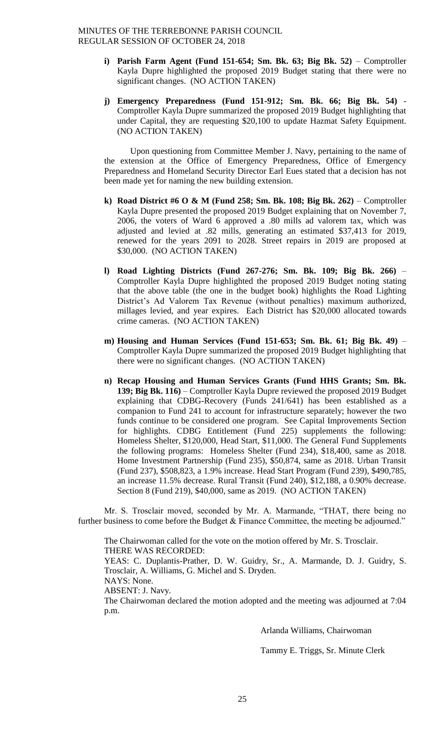- **i) Parish Farm Agent (Fund 151-654; Sm. Bk. 63; Big Bk. 52)**  Comptroller Kayla Dupre highlighted the proposed 2019 Budget stating that there were no significant changes. (NO ACTION TAKEN)
- **j) Emergency Preparedness (Fund 151-912; Sm. Bk. 66; Big Bk. 54)**  Comptroller Kayla Dupre summarized the proposed 2019 Budget highlighting that under Capital, they are requesting \$20,100 to update Hazmat Safety Equipment. (NO ACTION TAKEN)

Upon questioning from Committee Member J. Navy, pertaining to the name of the extension at the Office of Emergency Preparedness, Office of Emergency Preparedness and Homeland Security Director Earl Eues stated that a decision has not been made yet for naming the new building extension.

- **k) Road District #6 O & M (Fund 258; Sm. Bk. 108; Big Bk. 262)**  Comptroller Kayla Dupre presented the proposed 2019 Budget explaining that on November 7, 2006, the voters of Ward 6 approved a .80 mills ad valorem tax, which was adjusted and levied at .82 mills, generating an estimated \$37,413 for 2019, renewed for the years 2091 to 2028. Street repairs in 2019 are proposed at \$30,000. (NO ACTION TAKEN)
- **l) Road Lighting Districts (Fund 267-276; Sm. Bk. 109; Big Bk. 266)** Comptroller Kayla Dupre highlighted the proposed 2019 Budget noting stating that the above table (the one in the budget book) highlights the Road Lighting District's Ad Valorem Tax Revenue (without penalties) maximum authorized, millages levied, and year expires. Each District has \$20,000 allocated towards crime cameras. (NO ACTION TAKEN)
- **m) Housing and Human Services (Fund 151-653; Sm. Bk. 61; Big Bk. 49)** Comptroller Kayla Dupre summarized the proposed 2019 Budget highlighting that there were no significant changes. (NO ACTION TAKEN)
- **n) Recap Housing and Human Services Grants (Fund HHS Grants; Sm. Bk. 139; Big Bk. 116)** – Comptroller Kayla Dupre reviewed the proposed 2019 Budget explaining that CDBG-Recovery (Funds 241/641) has been established as a companion to Fund 241 to account for infrastructure separately; however the two funds continue to be considered one program. See Capital Improvements Section for highlights. CDBG Entitlement (Fund 225) supplements the following: Homeless Shelter, \$120,000, Head Start, \$11,000. The General Fund Supplements the following programs: Homeless Shelter (Fund 234), \$18,400, same as 2018. Home Investment Partnership (Fund 235), \$50,874, same as 2018. Urban Transit (Fund 237), \$508,823, a 1.9% increase. Head Start Program (Fund 239), \$490,785, an increase 11.5% decrease. Rural Transit (Fund 240), \$12,188, a 0.90% decrease. Section 8 (Fund 219), \$40,000, same as 2019. (NO ACTION TAKEN)

Mr. S. Trosclair moved, seconded by Mr. A. Marmande, "THAT, there being no further business to come before the Budget & Finance Committee, the meeting be adjourned."

The Chairwoman called for the vote on the motion offered by Mr. S. Trosclair. THERE WAS RECORDED:

YEAS: C. Duplantis-Prather, D. W. Guidry, Sr., A. Marmande, D. J. Guidry, S. Trosclair, A. Williams, G. Michel and S. Dryden.

NAYS: None.

ABSENT: J. Navy.

The Chairwoman declared the motion adopted and the meeting was adjourned at 7:04 p.m.

Arlanda Williams, Chairwoman

Tammy E. Triggs, Sr. Minute Clerk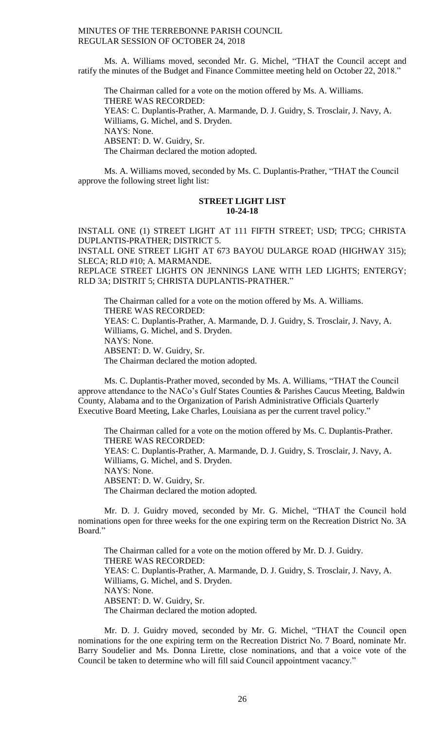Ms. A. Williams moved, seconded Mr. G. Michel, "THAT the Council accept and ratify the minutes of the Budget and Finance Committee meeting held on October 22, 2018."

The Chairman called for a vote on the motion offered by Ms. A. Williams. THERE WAS RECORDED: YEAS: C. Duplantis-Prather, A. Marmande, D. J. Guidry, S. Trosclair, J. Navy, A. Williams, G. Michel, and S. Dryden. NAYS: None. ABSENT: D. W. Guidry, Sr. The Chairman declared the motion adopted.

Ms. A. Williams moved, seconded by Ms. C. Duplantis-Prather, "THAT the Council approve the following street light list:

#### **STREET LIGHT LIST 10-24-18**

INSTALL ONE (1) STREET LIGHT AT 111 FIFTH STREET; USD; TPCG; CHRISTA DUPLANTIS-PRATHER; DISTRICT 5.

INSTALL ONE STREET LIGHT AT 673 BAYOU DULARGE ROAD (HIGHWAY 315); SLECA; RLD #10; A. MARMANDE.

REPLACE STREET LIGHTS ON JENNINGS LANE WITH LED LIGHTS; ENTERGY; RLD 3A; DISTRIT 5; CHRISTA DUPLANTIS-PRATHER."

The Chairman called for a vote on the motion offered by Ms. A. Williams. THERE WAS RECORDED: YEAS: C. Duplantis-Prather, A. Marmande, D. J. Guidry, S. Trosclair, J. Navy, A. Williams, G. Michel, and S. Dryden. NAYS: None. ABSENT: D. W. Guidry, Sr. The Chairman declared the motion adopted.

Ms. C. Duplantis-Prather moved, seconded by Ms. A. Williams, "THAT the Council approve attendance to the NACo's Gulf States Counties & Parishes Caucus Meeting, Baldwin County, Alabama and to the Organization of Parish Administrative Officials Quarterly Executive Board Meeting, Lake Charles, Louisiana as per the current travel policy."

The Chairman called for a vote on the motion offered by Ms. C. Duplantis-Prather. THERE WAS RECORDED: YEAS: C. Duplantis-Prather, A. Marmande, D. J. Guidry, S. Trosclair, J. Navy, A. Williams, G. Michel, and S. Dryden. NAYS: None. ABSENT: D. W. Guidry, Sr. The Chairman declared the motion adopted.

Mr. D. J. Guidry moved, seconded by Mr. G. Michel, "THAT the Council hold nominations open for three weeks for the one expiring term on the Recreation District No. 3A Board."

The Chairman called for a vote on the motion offered by Mr. D. J. Guidry. THERE WAS RECORDED: YEAS: C. Duplantis-Prather, A. Marmande, D. J. Guidry, S. Trosclair, J. Navy, A. Williams, G. Michel, and S. Dryden. NAYS: None. ABSENT: D. W. Guidry, Sr. The Chairman declared the motion adopted.

Mr. D. J. Guidry moved, seconded by Mr. G. Michel, "THAT the Council open nominations for the one expiring term on the Recreation District No. 7 Board, nominate Mr. Barry Soudelier and Ms. Donna Lirette, close nominations, and that a voice vote of the Council be taken to determine who will fill said Council appointment vacancy."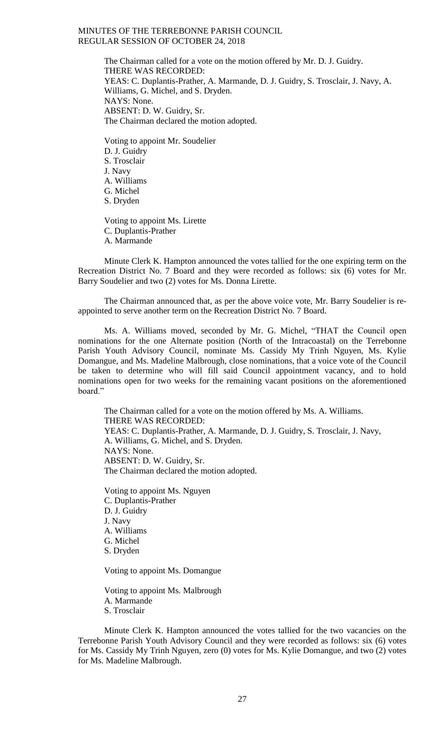The Chairman called for a vote on the motion offered by Mr. D. J. Guidry. THERE WAS RECORDED: YEAS: C. Duplantis-Prather, A. Marmande, D. J. Guidry, S. Trosclair, J. Navy, A. Williams, G. Michel, and S. Dryden. NAYS: None. ABSENT: D. W. Guidry, Sr. The Chairman declared the motion adopted.

Voting to appoint Mr. Soudelier D. J. Guidry S. Trosclair J. Navy A. Williams G. Michel S. Dryden

Voting to appoint Ms. Lirette C. Duplantis-Prather A. Marmande

Minute Clerk K. Hampton announced the votes tallied for the one expiring term on the Recreation District No. 7 Board and they were recorded as follows: six (6) votes for Mr. Barry Soudelier and two (2) votes for Ms. Donna Lirette.

The Chairman announced that, as per the above voice vote, Mr. Barry Soudelier is reappointed to serve another term on the Recreation District No. 7 Board.

Ms. A. Williams moved, seconded by Mr. G. Michel, "THAT the Council open nominations for the one Alternate position (North of the Intracoastal) on the Terrebonne Parish Youth Advisory Council, nominate Ms. Cassidy My Trinh Nguyen, Ms. Kylie Domangue, and Ms. Madeline Malbrough, close nominations, that a voice vote of the Council be taken to determine who will fill said Council appointment vacancy, and to hold nominations open for two weeks for the remaining vacant positions on the aforementioned board."

The Chairman called for a vote on the motion offered by Ms. A. Williams. THERE WAS RECORDED: YEAS: C. Duplantis-Prather, A. Marmande, D. J. Guidry, S. Trosclair, J. Navy, A. Williams, G. Michel, and S. Dryden. NAYS: None. ABSENT: D. W. Guidry, Sr. The Chairman declared the motion adopted.

Voting to appoint Ms. Nguyen C. Duplantis-Prather D. J. Guidry J. Navy A. Williams G. Michel S. Dryden

Voting to appoint Ms. Domangue

Voting to appoint Ms. Malbrough A. Marmande S. Trosclair

Minute Clerk K. Hampton announced the votes tallied for the two vacancies on the Terrebonne Parish Youth Advisory Council and they were recorded as follows: six (6) votes for Ms. Cassidy My Trinh Nguyen, zero (0) votes for Ms. Kylie Domangue, and two (2) votes for Ms. Madeline Malbrough.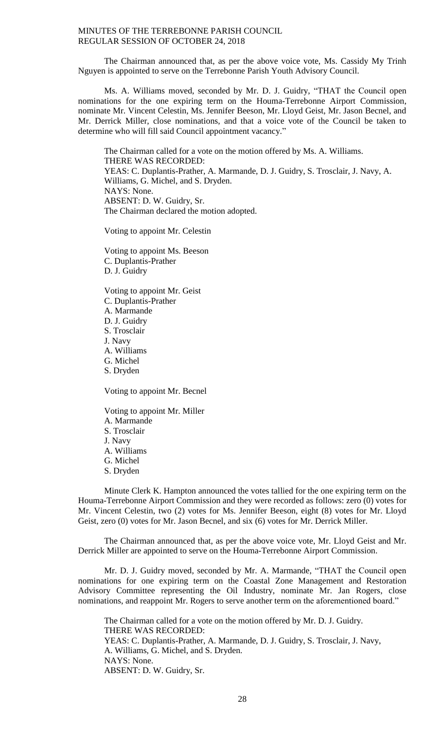The Chairman announced that, as per the above voice vote, Ms. Cassidy My Trinh Nguyen is appointed to serve on the Terrebonne Parish Youth Advisory Council.

Ms. A. Williams moved, seconded by Mr. D. J. Guidry, "THAT the Council open nominations for the one expiring term on the Houma-Terrebonne Airport Commission, nominate Mr. Vincent Celestin, Ms. Jennifer Beeson, Mr. Lloyd Geist, Mr. Jason Becnel, and Mr. Derrick Miller, close nominations, and that a voice vote of the Council be taken to determine who will fill said Council appointment vacancy."

The Chairman called for a vote on the motion offered by Ms. A. Williams. THERE WAS RECORDED: YEAS: C. Duplantis-Prather, A. Marmande, D. J. Guidry, S. Trosclair, J. Navy, A. Williams, G. Michel, and S. Dryden. NAYS: None. ABSENT: D. W. Guidry, Sr. The Chairman declared the motion adopted.

Voting to appoint Mr. Celestin

Voting to appoint Ms. Beeson C. Duplantis-Prather D. J. Guidry

Voting to appoint Mr. Geist C. Duplantis-Prather A. Marmande D. J. Guidry S. Trosclair J. Navy A. Williams G. Michel S. Dryden Voting to appoint Mr. Becnel

Voting to appoint Mr. Miller A. Marmande S. Trosclair J. Navy A. Williams G. Michel S. Dryden

Minute Clerk K. Hampton announced the votes tallied for the one expiring term on the Houma-Terrebonne Airport Commission and they were recorded as follows: zero (0) votes for Mr. Vincent Celestin, two (2) votes for Ms. Jennifer Beeson, eight (8) votes for Mr. Lloyd Geist, zero (0) votes for Mr. Jason Becnel, and six (6) votes for Mr. Derrick Miller.

The Chairman announced that, as per the above voice vote, Mr. Lloyd Geist and Mr. Derrick Miller are appointed to serve on the Houma-Terrebonne Airport Commission.

Mr. D. J. Guidry moved, seconded by Mr. A. Marmande, "THAT the Council open nominations for one expiring term on the Coastal Zone Management and Restoration Advisory Committee representing the Oil Industry, nominate Mr. Jan Rogers, close nominations, and reappoint Mr. Rogers to serve another term on the aforementioned board."

The Chairman called for a vote on the motion offered by Mr. D. J. Guidry. THERE WAS RECORDED: YEAS: C. Duplantis-Prather, A. Marmande, D. J. Guidry, S. Trosclair, J. Navy, A. Williams, G. Michel, and S. Dryden. NAYS: None. ABSENT: D. W. Guidry, Sr.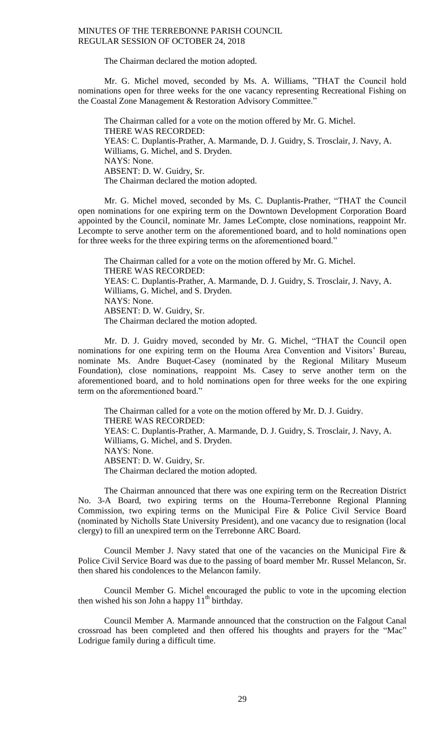The Chairman declared the motion adopted.

Mr. G. Michel moved, seconded by Ms. A. Williams, "THAT the Council hold nominations open for three weeks for the one vacancy representing Recreational Fishing on the Coastal Zone Management & Restoration Advisory Committee."

The Chairman called for a vote on the motion offered by Mr. G. Michel. THERE WAS RECORDED: YEAS: C. Duplantis-Prather, A. Marmande, D. J. Guidry, S. Trosclair, J. Navy, A. Williams, G. Michel, and S. Dryden. NAYS: None. ABSENT: D. W. Guidry, Sr. The Chairman declared the motion adopted.

Mr. G. Michel moved, seconded by Ms. C. Duplantis-Prather, "THAT the Council open nominations for one expiring term on the Downtown Development Corporation Board appointed by the Council, nominate Mr. James LeCompte, close nominations, reappoint Mr. Lecompte to serve another term on the aforementioned board, and to hold nominations open for three weeks for the three expiring terms on the aforementioned board."

The Chairman called for a vote on the motion offered by Mr. G. Michel. THERE WAS RECORDED: YEAS: C. Duplantis-Prather, A. Marmande, D. J. Guidry, S. Trosclair, J. Navy, A. Williams, G. Michel, and S. Dryden. NAYS: None. ABSENT: D. W. Guidry, Sr. The Chairman declared the motion adopted.

Mr. D. J. Guidry moved, seconded by Mr. G. Michel, "THAT the Council open nominations for one expiring term on the Houma Area Convention and Visitors' Bureau, nominate Ms. Andre Buquet-Casey (nominated by the Regional Military Museum Foundation), close nominations, reappoint Ms. Casey to serve another term on the aforementioned board, and to hold nominations open for three weeks for the one expiring term on the aforementioned board."

The Chairman called for a vote on the motion offered by Mr. D. J. Guidry. THERE WAS RECORDED: YEAS: C. Duplantis-Prather, A. Marmande, D. J. Guidry, S. Trosclair, J. Navy, A. Williams, G. Michel, and S. Dryden. NAYS: None. ABSENT: D. W. Guidry, Sr. The Chairman declared the motion adopted.

The Chairman announced that there was one expiring term on the Recreation District No. 3-A Board, two expiring terms on the Houma-Terrebonne Regional Planning Commission, two expiring terms on the Municipal Fire & Police Civil Service Board (nominated by Nicholls State University President), and one vacancy due to resignation (local clergy) to fill an unexpired term on the Terrebonne ARC Board.

Council Member J. Navy stated that one of the vacancies on the Municipal Fire & Police Civil Service Board was due to the passing of board member Mr. Russel Melancon, Sr. then shared his condolences to the Melancon family.

Council Member G. Michel encouraged the public to vote in the upcoming election then wished his son John a happy  $11<sup>th</sup>$  birthday.

Council Member A. Marmande announced that the construction on the Falgout Canal crossroad has been completed and then offered his thoughts and prayers for the "Mac" Lodrigue family during a difficult time.